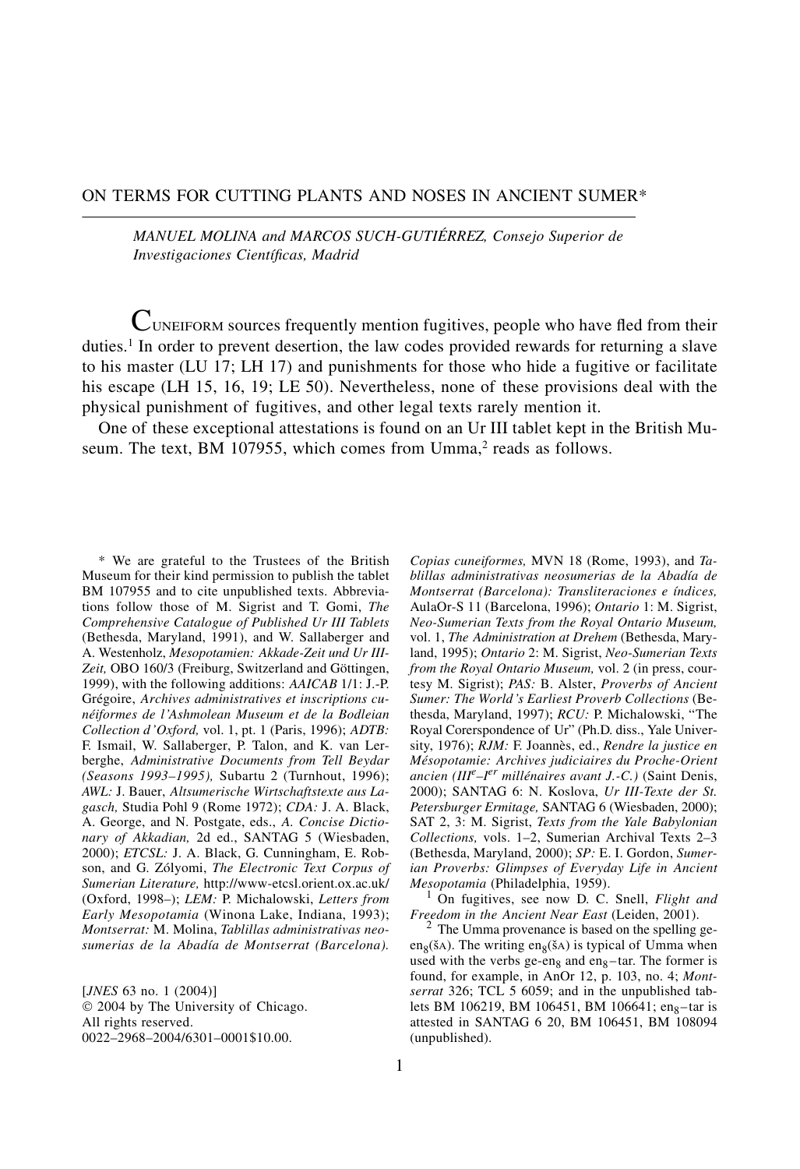### ON TERMS FOR CUTTING PLANTS AND NOSES IN ANCIENT SUMER\*

*MANUEL MOLINA and MARCOS SUCH-GUTIÉRREZ, Consejo Superior de Investigaciones Científicas, Madrid*

 $C$ UNEIFORM sources frequently mention fugitives, people who have fled from their duties.1 In order to prevent desertion, the law codes provided rewards for returning a slave to his master (LU 17; LH 17) and punishments for those who hide a fugitive or facilitate his escape (LH 15, 16, 19; LE 50). Nevertheless, none of these provisions deal with the physical punishment of fugitives, and other legal texts rarely mention it.

One of these exceptional attestations is found on an Ur III tablet kept in the British Museum. The text, BM 107955, which comes from Umma,<sup>2</sup> reads as follows.

\* We are grateful to the Trustees of the British Museum for their kind permission to publish the tablet BM 107955 and to cite unpublished texts. Abbreviations follow those of M. Sigrist and T. Gomi, *The Comprehensive Catalogue of Published Ur III Tablets* (Bethesda, Maryland, 1991), and W. Sallaberger and A. Westenholz, *Mesopotamien: Akkade-Zeit und Ur III-Zeit,* OBO 160/3 (Freiburg, Switzerland and Göttingen, 1999), with the following additions: *AAICAB* 1/1: J.-P. Grégoire, *Archives administratives et inscriptions cunéiformes de l'Ashmolean Museum et de la Bodleian Collection d'Oxford,* vol. 1, pt. 1 (Paris, 1996); *ADTB:* F. Ismail, W. Sallaberger, P. Talon, and K. van Lerberghe, *Administrative Documents from Tell Beydar (Seasons 1993–1995),* Subartu 2 (Turnhout, 1996); *AWL:* J. Bauer, *Altsumerische Wirtschaftstexte aus Lagasch,* Studia Pohl 9 (Rome 1972); *CDA:* J. A. Black, A. George, and N. Postgate, eds., *A. Concise Dictionary of Akkadian,* 2d ed., SANTAG 5 (Wiesbaden, 2000); *ETCSL:* J. A. Black, G. Cunningham, E. Robson, and G. Zólyomi, *The Electronic Text Corpus of Sumerian Literature,* http://www-etcsl.orient.ox.ac.uk/ (Oxford, 1998–); *LEM:* P. Michalowski, *Letters from Early Mesopotamia* (Winona Lake, Indiana, 1993); *Montserrat:* M. Molina, *Tablillas administrativas neosumerias de la Abadía de Montserrat (Barcelona).*

[*JNES* 63 no. 1 (2004)]  $© 2004 by The University of Chicago.$ All rights reserved. 0022–2968–2004/6301–0001\$10.00.

*Copias cuneiformes,* MVN 18 (Rome, 1993), and *Tablillas administrativas neosumerias de la Abadía de Montserrat (Barcelona): Transliteraciones e índices,* AulaOr-S 11 (Barcelona, 1996); *Ontario* 1: M. Sigrist, *Neo-Sumerian Texts from the Royal Ontario Museum,* vol. 1, *The Administration at Drehem* (Bethesda, Maryland, 1995); *Ontario* 2: M. Sigrist, *Neo-Sumerian Texts from the Royal Ontario Museum,* vol. 2 (in press, courtesy M. Sigrist); *PAS:* B. Alster, *Proverbs of Ancient Sumer: The World's Earliest Proverb Collections* (Bethesda, Maryland, 1997); *RCU:* P. Michalowski, "The Royal Corerspondence of Ur" (Ph.D. diss., Yale University, 1976); *RJM:* F. Joannès, ed., *Rendre la justice en Mésopotamie: Archives judiciaires du Proche-Orient ancien (III<sup>e</sup> –Ier millénaires avant J.-C.)* (Saint Denis, 2000); SANTAG 6: N. Koslova, *Ur III-Texte der St. Petersburger Ermitage,* SANTAG 6 (Wiesbaden, 2000); SAT 2, 3: M. Sigrist, *Texts from the Yale Babylonian Collections,* vols. 1–2, Sumerian Archival Texts 2–3 (Bethesda, Maryland, 2000); *SP:* E. I. Gordon, *Sumerian Proverbs: Glimpses of Everyday Life in Ancient Mesopotamia* (Philadelphia, 1959).<br><sup>1</sup> On fugitives, see now D. C. Snell, *Flight and* 

*Freedom in the Ancient Near East* (Leiden, 2001).<br><sup>2</sup> The Umma provenance is based on the spelling ge-

en<sub>8</sub>(šA). The writing en<sub>8</sub>(šA) is typical of Umma when used with the verbs ge-en<sub>8</sub> and en<sub>8</sub>-tar. The former is found, for example, in AnOr 12, p. 103, no. 4; *Montserrat* 326; TCL 5 6059; and in the unpublished tablets BM 106219, BM 106451, BM 106641; eng-tar is attested in SANTAG 6 20, BM 106451, BM 108094 (unpublished).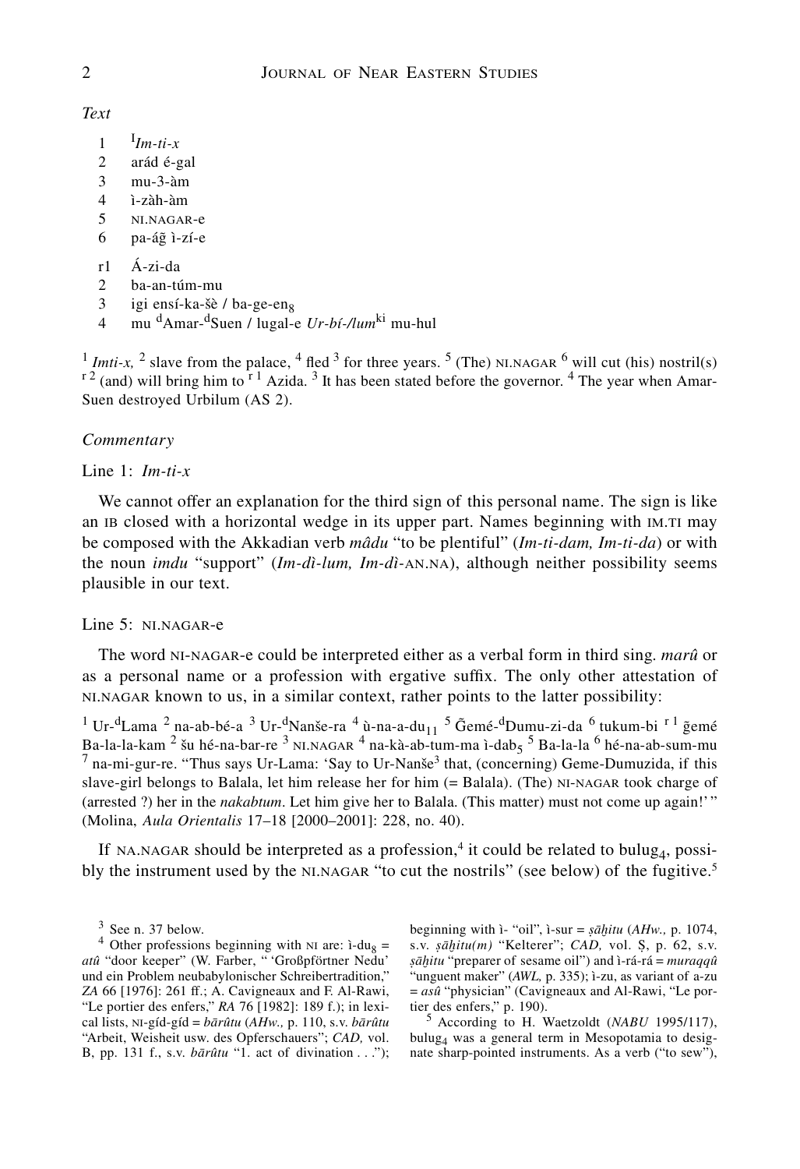*Text*

- 1 <sup>I</sup> *Im-ti-x*
- 2 arád é-gal
- 3 mu-3-àm
- 4 ì-zàh-àm
- 5 ni.nagar-e
- $6$  pa-ág ì-zí-e
- r1 Á-zi-da
- 2 ba-an-túm-mu
- 3 igi ensí-ka-šè / ba-ge-en<sub>8</sub><br>4 mu <sup>d</sup>Amar-<sup>d</sup>Suen / lugal-
- 4 mu dAmar-dSuen / lugal-e *Ur-bí-/lum*ki mu-hul

<sup>1</sup> *Imti-x*, <sup>2</sup> slave from the palace, <sup>4</sup> fled <sup>3</sup> for three years. <sup>5</sup> (The) NLNAGAR <sup>6</sup> will cut (his) nostril(s)  $r^2$  (and) will bring him to  $r^1$  Azida. <sup>3</sup> It has been stated before the governor. <sup>4</sup> The year when Amar-Suen destroyed Urbilum (AS 2).

### *Commentary*

Line 1: *Im-ti-x*

We cannot offer an explanation for the third sign of this personal name. The sign is like an IB closed with a horizontal wedge in its upper part. Names beginning with IM.TI may be composed with the Akkadian verb *mâdu* "to be plentiful" (*Im-ti-dam, Im-ti-da*) or with the noun *imdu* "support" (*Im-dì-lum, Im-dì-*an.na), although neither possibility seems plausible in our text.

### Line 5: ni.nagar-e

The word ni-nagar-e could be interpreted either as a verbal form in third sing. *marû* or as a personal name or a profession with ergative suffix. The only other attestation of ni.nagar known to us, in a similar context, rather points to the latter possibility:

<sup>1</sup> Ur-<sup>d</sup>Lama <sup>2</sup> na-ab-bé-a <sup>3</sup> Ur-<sup>d</sup>Nanše-ra <sup>4</sup> ù-na-a-du<sub>11</sub> <sup>5</sup> G̃emé-<sup>d</sup>Dumu-zi-da <sup>6</sup> tukum-bi <sup>r 1</sup> g̃emé Ba-la-la-kam  $^2$  šu hé-na-bar-re  $^3$  NI.NAGAR  $^4$  na-kà-ab-tum-ma ì-dab<sub>5</sub>  $^5$  Ba-la-la  $^6$  hé-na-ab-sum-mu  $^7$  na-mi-gur-re. "Thus says Ur-Lama: 'Say to Ur-Nanše<sup>3</sup> that, (concerning) Geme-Dumuzida, if this slave-girl belongs to Balala, let him release her for him (= Balala). (The) ni-nagar took charge of (arrested ?) her in the *nakabtum*. Let him give her to Balala. (This matter) must not come up again!' " (Molina, *Aula Orientalis* 17–18 [2000–2001]: 228, no. 40).

If NA.NAGAR should be interpreted as a profession,<sup>4</sup> it could be related to bulug<sub>4</sub>, possibly the instrument used by the NLNAGAR "to cut the nostrils" (see below) of the fugitive.<sup>5</sup>

beginning with ì- "oil", ì-sur = *sahitu* (*AHw.,* p. 1074, s.v. *sahitu(m)* "Kelterer"; *CAD,* vol. S, p. 62, s.v. *sahitu* "preparer of sesame oil") and ì-rá-rá = *muraqqû* "unguent maker" (AWL, p. 335); ì-zu, as variant of a-zu  $= as\hat{u}$  "physician" (Cavigneaux and Al-Rawi, "Le portier des enfers," p. 190).

<sup>5</sup> According to H. Waetzoldt (*NABU* 1995/117), bulug4 was a general term in Mesopotamia to designate sharp-pointed instruments. As a verb ("to sew"),

<sup>&</sup>lt;sup>3</sup> See n. 37 below.<br><sup>4</sup> Other professions beginning with NI are:  $i$ -du<sub>8</sub> = *atû* "door keeper" (W. Farber, " 'Großpförtner Nedu' und ein Problem neubabylonischer Schreibertradition," *ZA* 66 [1976]: 261 ff.; A. Cavigneaux and F. Al-Rawi, "Le portier des enfers," *RA* 76 [1982]: 189 f.); in lexical lists, ni-gíd-gíd = *barûtu* (*AHw.,* p. 110, s.v. *barûtu* "Arbeit, Weisheit usw. des Opferschauers"; *CAD,* vol. B, pp. 131 f., s.v. *barûtu* "1. act of divination . . .");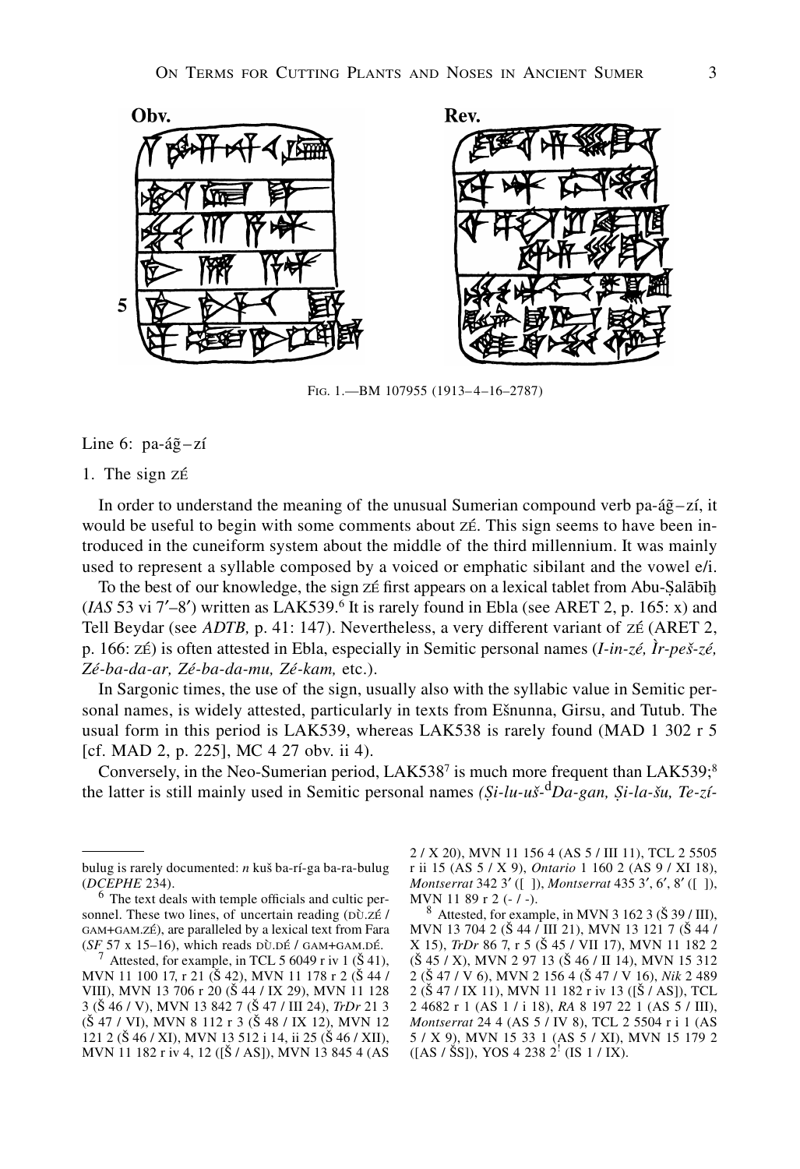

Fig. 1.—BM 107955 (1913–4–16–2787)

Line 6: pa-á $\tilde{g}$ -zí

1. The sign zé

In order to understand the meaning of the unusual Sumerian compound verb pa-á $\tilde{g}$ –zí, it would be useful to begin with some comments about zé. This sign seems to have been introduced in the cuneiform system about the middle of the third millennium. It was mainly used to represent a syllable composed by a voiced or emphatic sibilant and the vowel e/i.

To the best of our knowledge, the sign zé first appears on a lexical tablet from Abu-Salabih  $(IAS\ 53\ vi\ 7'-8')$  written as LAK539.<sup>6</sup> It is rarely found in Ebla (see ARET 2, p. 165: x) and Tell Beydar (see *ADTB,* p. 41: 147). Nevertheless, a very different variant of zé (ARET 2, p. 166: zé) is often attested in Ebla, especially in Semitic personal names (*I-in-zé, Ìr-pes-zé, Zé-ba-da-ar, Zé-ba-da-mu, Zé-kam,* etc.).

In Sargonic times, the use of the sign, usually also with the syllabic value in Semitic personal names, is widely attested, particularly in texts from Esnunna, Girsu, and Tutub. The usual form in this period is LAK539, whereas LAK538 is rarely found (MAD 1 302 r 5 [cf. MAD 2, p. 225], MC 4 27 obv. ii 4).

Conversely, in the Neo-Sumerian period, LAK538<sup>7</sup> is much more frequent than LAK539; $\frac{8}{3}$ the latter is still mainly used in Semitic personal names *(Si-lu-us-*<sup>d</sup>*Da-gan, Si-la-su, Te-zí-*

2 / X 20), MVN 11 156 4 (AS 5 / III 11), TCL 2 5505 r ii 15 (AS 5 / X 9), *Ontario* 1 160 2 (AS 9 / XI 18), *Montserrat* 342 3' ([ ]), *Montserrat* 435 3', 6', 8' ([ ]), MVN 11 89 r 2 (- / -).

 $8$  Attested, for example, in MVN 3 162 3 ( $\check{S}$  39 / III), MVN 13 704 2 (S 44 / III 21), MVN 13 121 7 (S 44 / X 15), *TrDr* 86 7, r 5 (S 45 / VII 17), MVN 11 182 2  $(\S 45 / X)$ , MVN 2 97 13  $(\S 46 / II 14)$ , MVN 15 312 2 (S 47 / V 6), MVN 2 156 4 (S 47 / V 16), *Nik* 2 489 2 (S 47 / IX 11), MVN 11 182 r iv 13 ([S / AS]), TCL 2 4682 r 1 (AS 1 / i 18), *RA* 8 197 22 1 (AS 5 / III), *Montserrat* 24 4 (AS 5 / IV 8), TCL 2 5504 r i 1 (AS 5 / X 9), MVN 15 33 1 (AS 5 / XI), MVN 15 179 2  $([AS / \check{S}S]), YOS 4 238 2^{\dagger} (IS 1 / IX).$ 

bulug is rarely documented: *n* kus ba-rí-ga ba-ra-bulug (*DCEPHE* 234). <sup>6</sup> The text deals with temple officials and cultic per-

sonnel. These two lines, of uncertain reading  $(D\tilde{U}Z\tilde{E})$ gam+gam.zé), are paralleled by a lexical text from Fara (*SF* 57 x 15–16), which reads  $D\ddot{\theta}$ . GAM+GAM.DÉ.<br><sup>7</sup> Attested, for example, in TCL 5 6049 r iv 1 (Š 41),

MVN 11 100 17, r 21 (Š 42), MVN 11 178 r 2 (Š 44 / VIII), MVN 13 706 r 20 (S 44 / IX 29), MVN 11 128 3 (S 46 / V), MVN 13 842 7 (S 47 / III 24), *TrDr* 21 3 (Š 47 / VI), MVN 8 112 r 3 (Š 48 / IX 12), MVN 12 121 2 (Š 46 / XI), MVN 13 512 i 14, ii 25 (Š 46 / XII), MVN 11 182 r iv 4, 12 ([S / AS]), MVN 13 845 4 (AS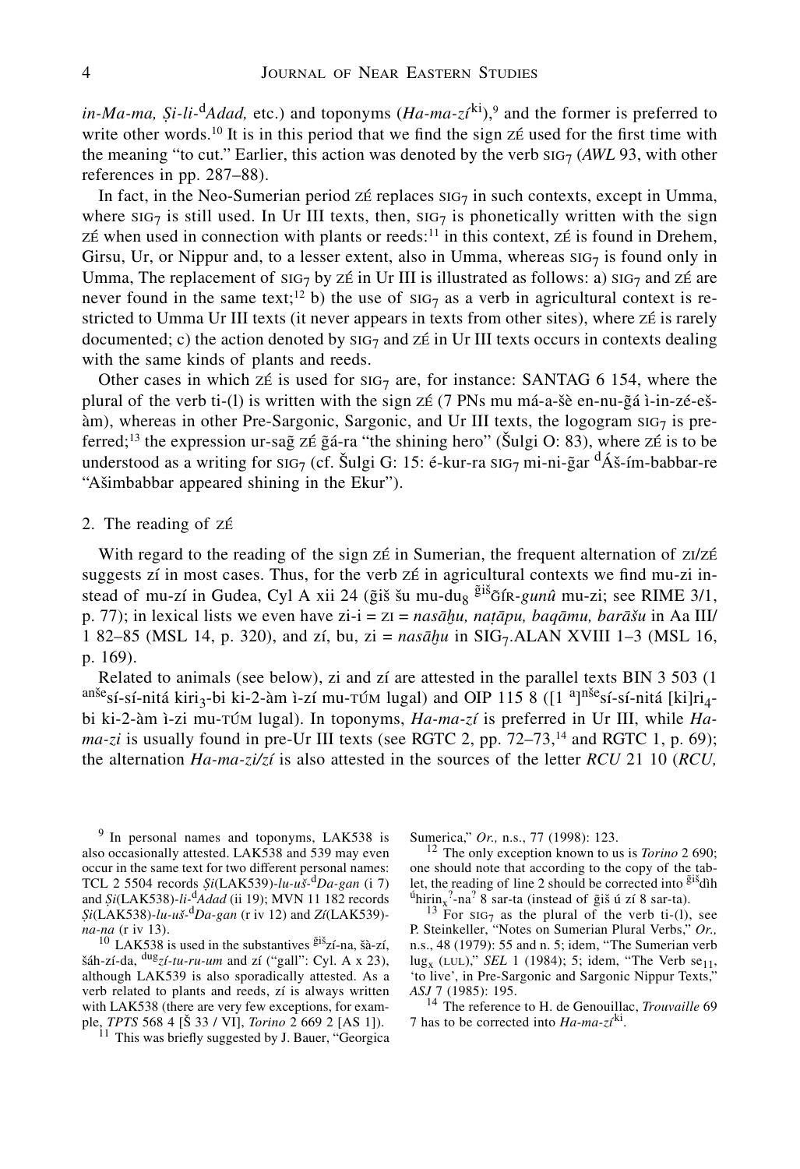*in-Ma-ma,*  $Si$ *-li-*<sup>d</sup>*Adad,* etc.) and toponyms  $(Ha-ma-zt^{ki})$ ,<sup>9</sup> and the former is preferred to write other words.<sup>10</sup> It is in this period that we find the sign  $Z\acute{\epsilon}$  used for the first time with the meaning "to cut." Earlier, this action was denoted by the verb  $\text{SiG}_7$  (*AWL* 93, with other references in pp. 287–88).

In fact, in the Neo-Sumerian period ze replaces  $\text{Si}57$  in such contexts, except in Umma, where  $\text{SiG}_7$  is still used. In Ur III texts, then,  $\text{SiG}_7$  is phonetically written with the sign zé when used in connection with plants or reeds:<sup>11</sup> in this context, zé is found in Drehem, Girsu, Ur, or Nippur and, to a lesser extent, also in Umma, whereas  $\text{SiG}_7$  is found only in Umma, The replacement of  $\text{SiG}_7$  by zé in Ur III is illustrated as follows: a)  $\text{SiG}_7$  and zé are never found in the same text;<sup>12</sup> b) the use of  $\text{SiG}_7$  as a verb in agricultural context is restricted to Umma Ur III texts (it never appears in texts from other sites), where zé is rarely documented; c) the action denoted by  $\text{SiG}_7$  and  $\text{Z} \neq \text{in } \text{Ur}$  III texts occurs in contexts dealing with the same kinds of plants and reeds.

Other cases in which zé is used for  $\text{Si}7$  are, for instance: SANTAG 6 154, where the plural of the verb ti-(1) is written with the sign z $\acute{\text{z}}$  (7 PNs mu má-a-šè en-nu- $\ddot{\text{z}}$ á ì-in-zé-eš- $\lambda$ m), whereas in other Pre-Sargonic, Sargonic, and Ur III texts, the logogram  $\text{SiG}_7$  is preferred;<sup>13</sup> the expression ur-sag zé gá-ra "the shining hero" (Šulgi O: 83), where zé is to be understood as a writing for  $\text{SiG}_7$  (cf. Šulgi G: 15: é-kur-ra  $\text{SiG}_7$  mi-ni-g̃ar  $\text{d'Á}$ š-ím-babbar-re "Asimbabbar appeared shining in the Ekur").

#### 2. The reading of zé

With regard to the reading of the sign zé in Sumerian, the frequent alternation of z $1/zE$ suggests zí in most cases. Thus, for the verb zé in agricultural contexts we find mu-zi instead of mu-zí in Gudea, Cyl A xii 24 (ğiš šu mu-du<sub>8</sub> <sup>ğiš</sup> $\tilde{\sigma}$ fk-*gunû* mu-zi; see RIME 3/1, p. 77); in lexical lists we even have zi-i = zi = *nasahu, natapu, baqamu, barasu* in Aa III/ 1 82–85 (MSL 14, p. 320), and zí, bu, zi = *nasahu* in SIG7.ALAN XVIII 1–3 (MSL 16, p. 169).

Related to animals (see below), zi and zí are attested in the parallel texts BIN  $3\,503$  (1) sí-sí-nitá kiri<sub>3</sub>-bi ki-2-àm ì-zí mu- $\tau$ úm lugal) and OIP 115  $\hat{\mathbf{8}}$  ([1<sup>a</sup>]<sup>nše</sup>sí-sí-nitá [ki]ri<sub>4</sub>bi ki-2-àm ì-zi mu-túm lugal). In toponyms, *Ha-ma-zí* is preferred in Ur III, while *Ha* $ma-zi$  is usually found in pre-Ur III texts (see RGTC 2, pp.  $72-73$ ,<sup>14</sup> and RGTC 1, p. 69); the alternation *Ha-ma-zi/zí* is also attested in the sources of the letter *RCU* 21 10 (*RCU,*

<sup>9</sup> In personal names and toponyms, LAK538 is also occasionally attested. LAK538 and 539 may even occur in the same text for two different personal names: TCL 2 5504 records *Si*(LAK539)-*lu-us-*<sup>d</sup>*Da-gan* (i 7) and *Si*(LAK538)*-li-*d*Adad* (ii 19); MVN 11 182 records *Si*(LAK538)*-lu-us-*<sup>d</sup>*Da-gan* (r iv 12) and *Zí*(LAK539)*-*

*na-na* (r iv 13).<br><sup>10</sup> LAK538 is used in the substantives  $\frac{\tilde{g}iS}{2}$  *z*í-na, šà-zí, sáh-zí-da, dug*zí-tu-ru-um* and zí ("gall": Cyl. A x 23), although LAK539 is also sporadically attested. As a verb related to plants and reeds, zí is always written with LAK538 (there are very few exceptions, for exam-<br>ple,  $TPTS$  568 4 [ $\overline{S}$  33 / VI], *Torino* 2 669 2 [AS 1]).

<sup>11</sup> This was briefly suggested by J. Bauer, "Georgica"

Sumerica," *Or.*, n.s., 77 (1998): 123.<br><sup>12</sup> The only exception known to us is *Torino* 2 690; one should note that according to the copy of the tablet, the reading of line 2 should be corrected into  $\frac{\tilde{g}$ <sup>is</sup>dih let, the reading of line 2 should be corrected into <sup>gis</sup>dìh<br><sup>ú</sup>hirin<sub>x</sub>?-na<sup>?</sup> 8 sar-ta (instead of ĝiš ú zí 8 sar-ta).

 $^{13}$  For sig<sub>7</sub> as the plural of the verb ti-(1), see P. Steinkeller, "Notes on Sumerian Plural Verbs," *Or.,* n.s., 48 (1979): 55 and n. 5; idem, "The Sumerian verb  $\log_{x}$  (LUL)," *SEL* 1 (1984); 5; idem, "The Verb se<sub>11</sub>, 'to live', in Pre-Sargonic and Sargonic Nippur Texts," *ASJ* 7 (1985): 195.

<sup>14</sup> The reference to H. de Genouillac, *Trouvaille* 69 7 has to be corrected into  $Ha-ma-zt^{ki}$ .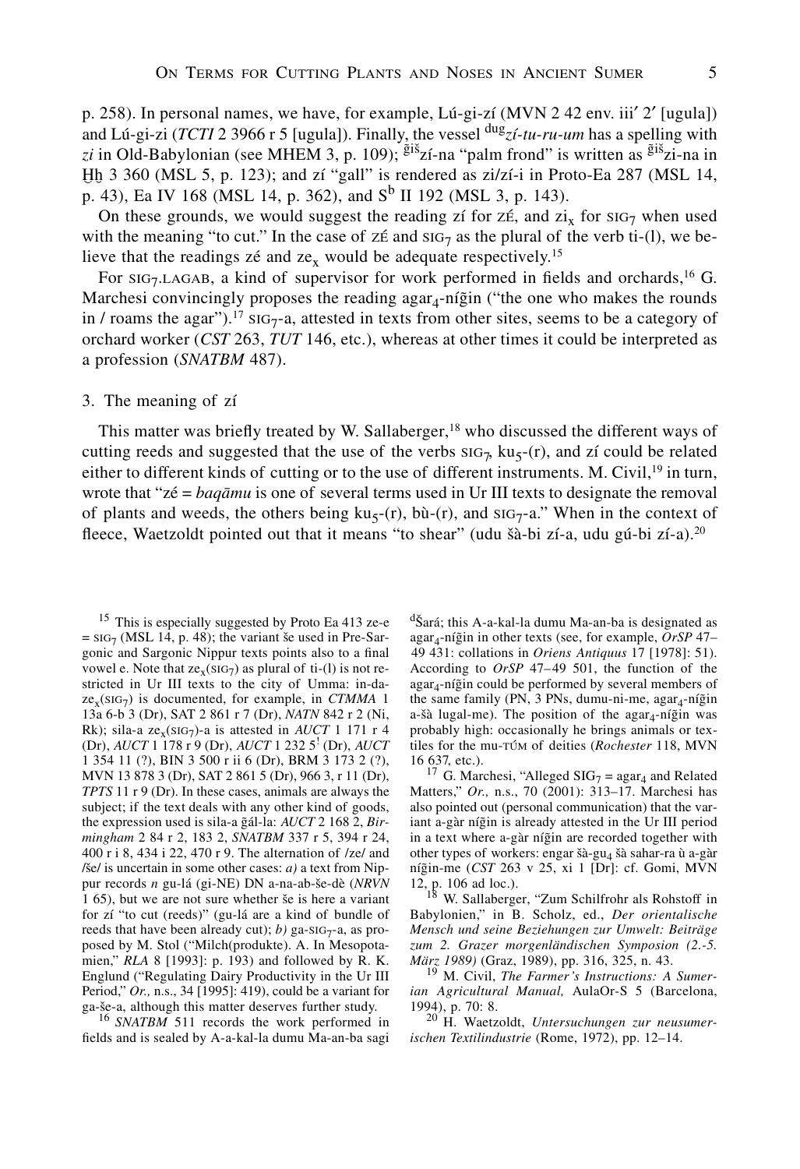p. 258). In personal names, we have, for example, Lú-gi-zí (MVN 2 42 env. iii'  $2'$  [ugula]) and Lú-gi-zi (*TCTI* 2 3966 r 5 [ugula]). Finally, the vessel dug*zí-tu-ru-um* has a spelling with z*i* in Old-Babylonian (see MHEM 3, p. 109); <sup>giš</sup>zí-na "palm frond" is written as <sup>giš</sup>zi-na in Hh 3 360 (MSL 5, p. 123); and zí "gall" is rendered as zi/zí-i in Proto-Ea 287 (MSL 14, p. 43), Ea IV 168 (MSL 14, p. 362), and  $S^b$  II 192 (MSL 3, p. 143).

On these grounds, we would suggest the reading zí for  $Z\ddot{\epsilon}$ , and  $Zi_x$  for  $\text{SiG}_7$  when used with the meaning "to cut." In the case of  $z \notin \text{and } \text{sig}_7$  as the plural of the verb ti-(l), we believe that the readings zé and  $ze<sub>x</sub>$  would be adequate respectively.<sup>15</sup>

For  $\text{SiG}_7\text{LAGAB}$ , a kind of supervisor for work performed in fields and orchards,<sup>16</sup> G. Marchesi convincingly proposes the reading agar<sub>d</sub>-nígin ("the one who makes the rounds") in / roams the agar").<sup>17</sup> SIG<sub>7</sub>-a, attested in texts from other sites, seems to be a category of orchard worker (*CST* 263, *TUT* 146, etc.), whereas at other times it could be interpreted as a profession (*SNATBM* 487).

### 3. The meaning of zí

This matter was briefly treated by W. Sallaberger, $18$  who discussed the different ways of cutting reeds and suggested that the use of the verbs  $\text{SiG}_7$ ,  $\text{ku}_5$ -(r), and zí could be related either to different kinds of cutting or to the use of different instruments. M. Civil,  $\frac{1}{2}$  in turn, wrote that "zé = *baqamu* is one of several terms used in Ur III texts to designate the removal of plants and weeds, the others being  $ku<sub>5</sub>-(r)$ ,  $b\tilde{u}<sub>-</sub>(r)$ , and  $su<sub>5</sub>-a$ ." When in the context of fleece, Waetzoldt pointed out that it means "to shear" (udu šà-bi zí-a, udu gú-bi zí-a).<sup>20</sup>

<sup>15</sup> This is especially suggested by Proto Ea 413 ze-e  $=$  sig<sub>7</sub> (MSL 14, p. 48); the variant še used in Pre-Sargonic and Sargonic Nippur texts points also to a final vowel e. Note that  $ze_x(SIG_7)$  as plural of ti-(1) is not restricted in Ur III texts to the city of Umma: in-da $ze<sub>x</sub>(SIG<sub>7</sub>)$  is documented, for example, in *CTMMA* 1 13a 6-b 3 (Dr), SAT 2 861 r 7 (Dr), *NATN* 842 r 2 (Ni, Rk); sila-a ze<sub>x</sub>(SIG<sub>7</sub>)-a is attested in *AUCT* 1 171 r 4 (Dr), *AUCT* 1 178 r 9 (Dr), *AUCT* 1 232 5! (Dr), *AUCT* 1 354 11 (?), BIN 3 500 r ii 6 (Dr), BRM 3 173 2 (?), MVN 13 878 3 (Dr), SAT 2 861 5 (Dr), 966 3, r 11 (Dr), *TPTS* 11 r 9 (Dr). In these cases, animals are always the subject; if the text deals with any other kind of goods, the expression used is sila-a gál-la: *AUCT* 2 168 2, *Birmingham* 2 84 r 2, 183 2, *SNATBM* 337 r 5, 394 r 24, 400 r i 8, 434 i 22, 470 r 9. The alternation of /ze/ and /še/ is uncertain in some other cases:  $a$ ) a text from Nippur records *n* gu-lá (gi-NE) DN a-na-ab-se-dè (*NRVN* 1 65), but we are not sure whether se is here a variant for zí "to cut (reeds)" (gu-lá are a kind of bundle of reeds that have been already cut);  $b$ ) ga-si $G_7$ -a, as proposed by M. Stol ("Milch(produkte). A. In Mesopotamien," *RLA* 8 [1993]: p. 193) and followed by R. K. Englund ("Regulating Dairy Productivity in the Ur III Period," *Or.,* n.s., 34 [1995]: 419), could be a variant for ga-še-a, although this matter deserves further study.

<sup>16</sup> *SNATBM* 511 records the work performed in fields and is sealed by A-a-kal-la dumu Ma-an-ba sagi  $\sigma$ Sará; this A-a-kal-la dumu Ma-an-ba is designated as agar<sub>4</sub>-níğin in other texts (see, for example, *OrSP* 47-49 431: collations in *Oriens Antiquus* 17 [1978]: 51). According to *OrSP* 47–49 501, the function of the  $agar<sub>4</sub>-níĝin could be performed by several members of$ the same family (PN, 3 PNs, dumu-ni-me,  $agar<sub>4</sub>-níĝin$ a-šà lugal-me). The position of the  $agar_4$ -ní $\tilde{g}$ in was probably high: occasionally he brings animals or textiles for the mu-túm of deities (*Rochester* 118, MVN 16 637, etc.).<br><sup>17</sup> G. Marchesi, "Alleged SIG<sub>7</sub> = agar<sub>4</sub> and Related

Matters," *Or.,* n.s., 70 (2001): 313–17. Marchesi has also pointed out (personal communication) that the variant a-gàr níğin is already attested in the Ur III period in a text where a-gàr nígin are recorded together with other types of workers: engar šà-gu<sub>4</sub> šà sahar-ra ù a-gàr níğin-me (CST 263 v 25, xi 1 [Dr]: cf. Gomi, MVN 12, p. 106 ad loc.). <sup>18</sup> W. Sallaberger, "Zum Schilfrohr als Rohstoff in

Babylonien," in B. Scholz, ed., *Der orientalische Mensch und seine Beziehungen zur Umwelt: Beiträge zum 2. Grazer morgenländischen Symposion (2.-5.*

*März 1989)* (Graz, 1989), pp. 316, 325, n. 43. <sup>19</sup> M. Civil, *The Farmer's Instructions: A Sumerian Agricultural Manual,* AulaOr-S 5 (Barcelona,

1994), p. 70: 8. <sup>20</sup> H. Waetzoldt, *Untersuchungen zur neusumerischen Textilindustrie* (Rome, 1972), pp. 12–14.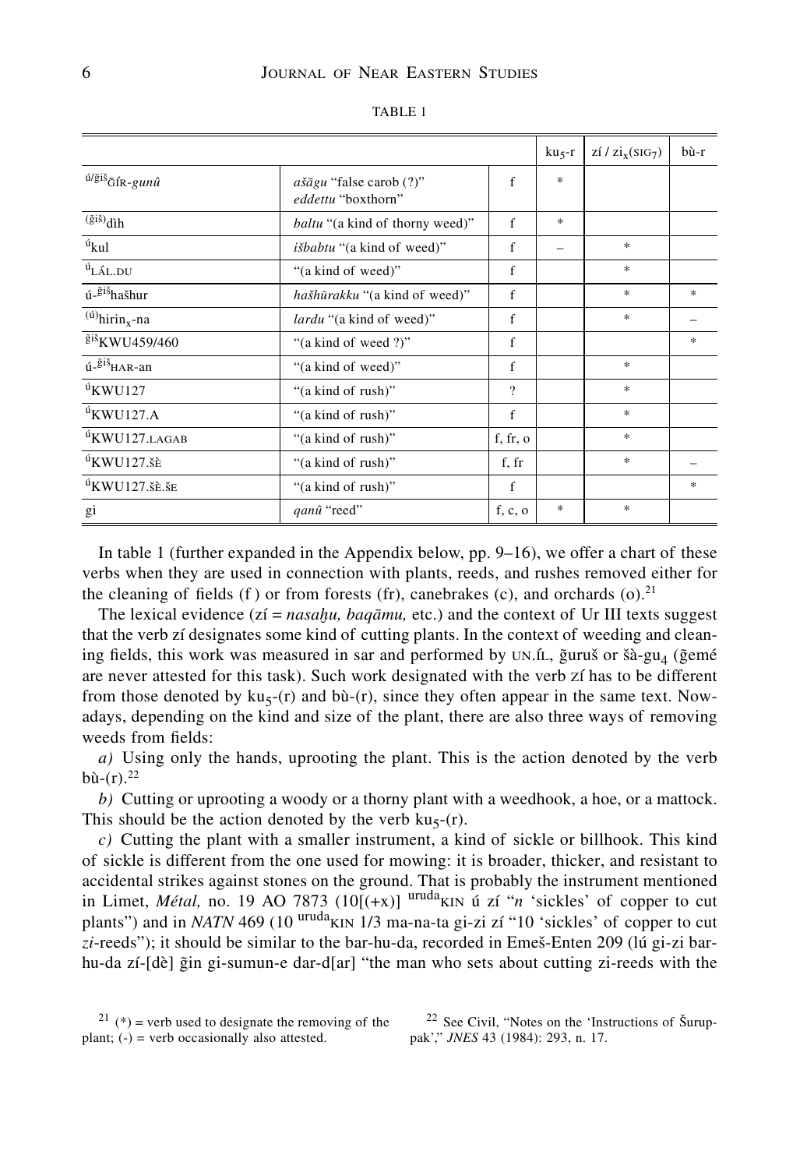|                                                                       |                                                        |             | $ku5-r$ | $\overline{z_1}/\overline{z_1}_{\rm x}(\overline{s_1}\overline{G_7})$ | bù-r   |
|-----------------------------------------------------------------------|--------------------------------------------------------|-------------|---------|-----------------------------------------------------------------------|--------|
| $^{\acute{u}/\tilde{g} i \tilde{s}}$ $\tilde{G}$ f<br>R-gun $\hat{u}$ | $a\check{a}gu$ "false carob (?)"<br>eddettu "boxthorn" | f           | $\ast$  |                                                                       |        |
| $\overline{(\tilde{g}i\tilde{s})}$ dìh                                | <i>baltu</i> "(a kind of thorny weed)"                 | f           | $*$     |                                                                       |        |
| $\mathfrak{u}_{\textbf{kul}}$                                         | <i>išbabtu</i> "(a kind of weed)"                      | $\mathbf f$ |         | $\ast$                                                                |        |
| $\rm ^{t\!t}L\rm\AA L.DU$                                             | "(a kind of weed)"                                     | f           |         | $\ast$                                                                |        |
| ú-gišhašhur                                                           | hašhūrakku "(a kind of weed)"                          | f           |         | $\ast$                                                                | $\ast$ |
| $\overline{a}$ <sup>(ú)</sup> hirin <sub>x</sub> -na                  | <i>lardu</i> "(a kind of weed)"                        | f           |         | $\ast$                                                                |        |
| giš <sub>KWU459/460</sub>                                             | "(a kind of weed ?)"                                   | f           |         |                                                                       | $\ast$ |
| ú- <sup>ğiš</sup> HAR-an                                              | "(a kind of weed)"                                     | $\mathbf f$ |         | $\ast$                                                                |        |
| $\mathrm{u}$ KWU127                                                   | "(a kind of rush)"                                     | $\gamma$    |         | $\frac{1}{2}$                                                         |        |
| $\mathrm{u}$ KWU127.A                                                 | "(a kind of rush)"                                     | $\mathbf f$ |         | $\ast$                                                                |        |
| ${}^{t}$ KWU127.LAGAB                                                 | "(a kind of rush)"                                     | f, fr, o    |         | $\ast$                                                                |        |
| $\mathrm{u}$ KWU127.šE                                                | "(a kind of rush)"                                     | f, fr       |         | $\ast$                                                                |        |
| $\rm ^{10}K W U 127.$ šè. še                                          | "(a kind of rush)"                                     | f           |         |                                                                       | $\ast$ |
| gi                                                                    | qanû "reed"                                            | f, c, o     | $*$     | $\ast$                                                                |        |

TABLE 1

In table 1 (further expanded in the Appendix below, pp. 9–16), we offer a chart of these verbs when they are used in connection with plants, reeds, and rushes removed either for the cleaning of fields (f) or from forests (fr), canebrakes (c), and orchards  $(o)$ .<sup>21</sup>

The lexical evidence (zí = *nasahu, baqamu,* etc.) and the context of Ur III texts suggest that the verb zí designates some kind of cutting plants. In the context of weeding and cleaning fields, this work was measured in sar and performed by UN.fL, gurus or sa-gu<sub>4</sub> (gemé are never attested for this task). Such work designated with the verb zí has to be different from those denoted by  $ku_5$ -(r) and bù-(r), since they often appear in the same text. Nowadays, depending on the kind and size of the plant, there are also three ways of removing weeds from fields:

*a)* Using only the hands, uprooting the plant. This is the action denoted by the verb  $b\hat{u}$ -(r).<sup>22</sup>

*b)* Cutting or uprooting a woody or a thorny plant with a weedhook, a hoe, or a mattock. This should be the action denoted by the verb  $ku<sub>5</sub>-(r)$ .

*c)* Cutting the plant with a smaller instrument, a kind of sickle or billhook. This kind of sickle is different from the one used for mowing: it is broader, thicker, and resistant to accidental strikes against stones on the ground. That is probably the instrument mentioned in Limet, *Métal*, no. 19 AO 7873 ( $10[(+x)]$ <sup>uruda</sup>kin ú zí "*n* 'sickles' of copper to cut plants") and in *NATN* 469 (10 <sup>uruda</sup>KIN 1/3 ma-na-ta gi-zi zí "10 'sickles' of copper to cut *zi*-reeds"); it should be similar to the bar-hu-da, recorded in Emes-Enten 209 (lú gi-zi barhu-da zí- $[d\tilde{e}]$  gin gi-sumun-e dar-d $[ar]$  "the man who sets about cutting zi-reeds with the

 $22$  See Civil, "Notes on the 'Instructions of Šuruppak'," *JNES* 43 (1984): 293, n. 17.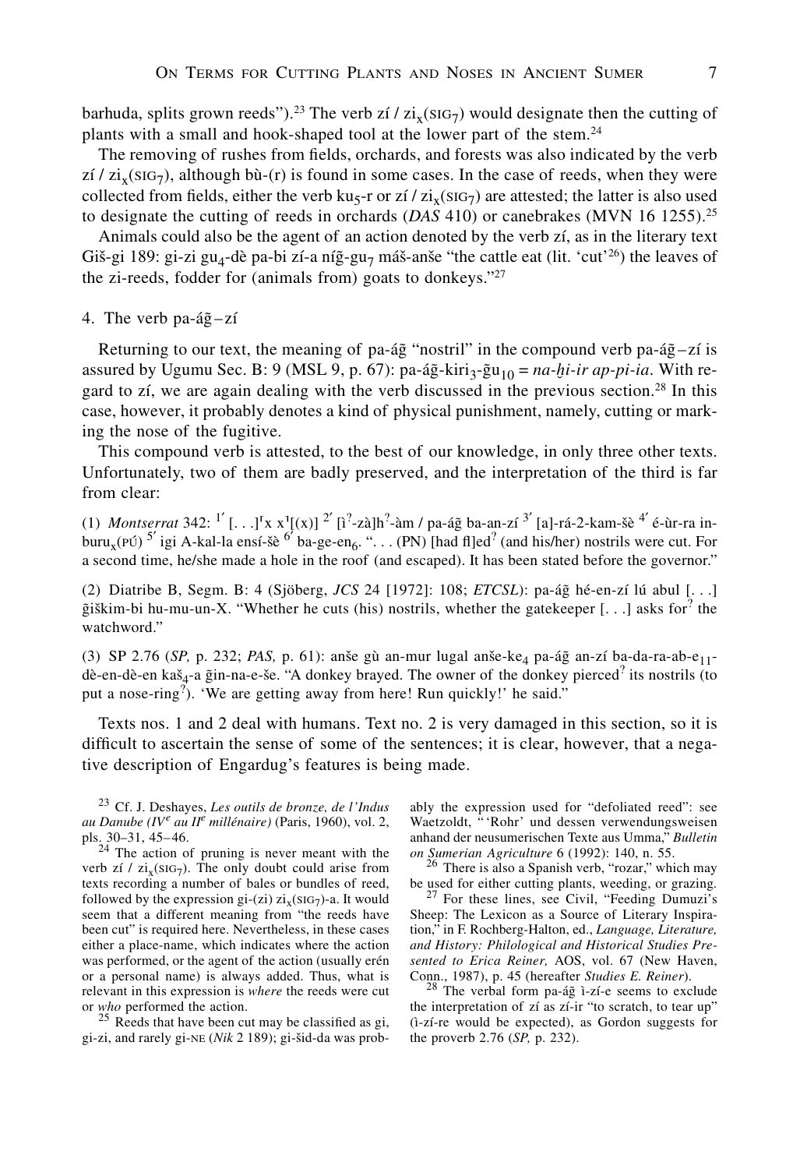barhuda, splits grown reeds").<sup>23</sup> The verb zí / zi<sub>x</sub>(SIG<sub>7</sub>) would designate then the cutting of plants with a small and hook-shaped tool at the lower part of the stem.<sup>24</sup>

The removing of rushes from fields, orchards, and forests was also indicated by the verb  $z_i / z_i$ (sig<sub>7</sub>), although bù-(r) is found in some cases. In the case of reeds, when they were collected from fields, either the verb ku<sub>5</sub>-r or zí / zi<sub>x</sub>(siG<sub>7</sub>) are attested; the latter is also used to designate the cutting of reeds in orchards (*DAS* 410) or canebrakes (MVN 16 1255).<sup>25</sup>

Animals could also be the agent of an action denoted by the verb zí, as in the literary text Giš-gi 189: gi-zi gu<sub>4</sub>-dè pa-bi zí-a níg-gu<sub>7</sub> máš-anše "the cattle eat (lit. 'cut'<sup>26</sup>) the leaves of the zi-reeds, fodder for (animals from) goats to donkeys."27

4. The verb pa-á $\tilde{g}$ -zí

Returning to our text, the meaning of pa-ág "nostril" in the compound verb pa-ág-zí is assured by Ugumu Sec. B: 9 (MSL 9, p. 67): pa-ág-kiri<sub>3</sub>-gu<sub>10</sub> =  $na$ -*hi*-ir ap-pi-ia. With regard to zí, we are again dealing with the verb discussed in the previous section.<sup>28</sup> In this case, however, it probably denotes a kind of physical punishment, namely, cutting or marking the nose of the fugitive.

This compound verb is attested, to the best of our knowledge, in only three other texts. Unfortunately, two of them are badly preserved, and the interpretation of the third is far from clear:

(1) *Montserrat* 342: <sup>1'</sup> [...]<sup>r</sup>x x<sup>1</sup>[(x)]<sup>2'</sup> [i<sup>2</sup>-zà]h<sup>2</sup>-àm / pa-á $\tilde{g}$  ba-an-zí<sup>3'</sup> [a]-rá-2-kam-šè <sup>4'</sup> é-ùr-ra inburu<sub>x</sub>(PÚ)  $^{5'}$ igi A-kal-la ensí-šè  $^{6'}$  ba-ge-en<sub>6</sub>. ". . . (PN) [had fl]ed<sup>?</sup> (and his/her) nostrils were cut. For a second time, he/she made a hole in the roof (and escaped). It has been stated before the governor."

(2) Diatribe B, Segm. B: 4 (Sjöberg, *JCS* 24 [1972]: 108; *ETCSL*): pa-áğ hé-en-zí lú abul [...]  $\tilde{g}$ iškim-bi hu-mu-un-X. "Whether he cuts (his) nostrils, whether the gatekeeper [...] asks for<sup>?</sup> the watchword."

(3) SP 2.76 (*SP*, p. 232; *PAS*, p. 61): anše gù an-mur lugal anše-ke<sub>4</sub> pa-ág̃ an-zí ba-da-ra-ab-e<sub>11</sub>dè-en-dè-en kaš<sub>4</sub>-a gin-na-e-še. "A donkey brayed. The owner of the donkey pierced<sup>?</sup> its nostrils (to put a nose-ring<sup>2</sup>). 'We are getting away from here! Run quickly!' he said."

Texts nos. 1 and 2 deal with humans. Text no. 2 is very damaged in this section, so it is difficult to ascertain the sense of some of the sentences; it is clear, however, that a negative description of Engardug's features is being made.

<sup>23</sup> Cf. J. Deshayes, *Les outils de bronze, de l'Indus au Danube (IV<sup>e</sup> au II<sup>e</sup> millénaire)* (Paris, 1960), vol. 2,

<sup>25</sup> Reeds that have been cut may be classified as gi, gi-zi, and rarely gi-ne (*Nik* 2 189); gi-sid-da was probably the expression used for "defoliated reed": see Waetzoldt, " 'Rohr' und dessen verwendungsweisen anhand der neusumerischen Texte aus Umma," *Bulletin on Sumerian Agriculture* 6 (1992): 140, n. 55. <sup>26</sup> There is also a Spanish verb, "rozar," which may

be used for either cutting plants, weeding, or grazing.<br><sup>27</sup> For these lines, see Civil, "Feeding Dumuzi's

Sheep: The Lexicon as a Source of Literary Inspiration," in F. Rochberg-Halton, ed., *Language, Literature, and History: Philological and Historical Studies Presented to Erica Reiner,* AOS, vol. 67 (New Haven,

<sup>28</sup> The verbal form pa-ág ì-zí-e seems to exclude the interpretation of zí as zí-ir "to scratch, to tear up" (ì-zí-re would be expected), as Gordon suggests for the proverb 2.76 (*SP,* p. 232).

 $24$  The action of pruning is never meant with the verb zí / zi<sub>x</sub>(siG<sub>7</sub>). The only doubt could arise from texts recording a number of bales or bundles of reed, followed by the expression gi-(zi)  $zi_x(SIG_7)$ -a. It would seem that a different meaning from "the reeds have been cut" is required here. Nevertheless, in these cases either a place-name, which indicates where the action was performed, or the agent of the action (usually erén or a personal name) is always added. Thus, what is relevant in this expression is *where* the reeds were cut or *who* performed the action.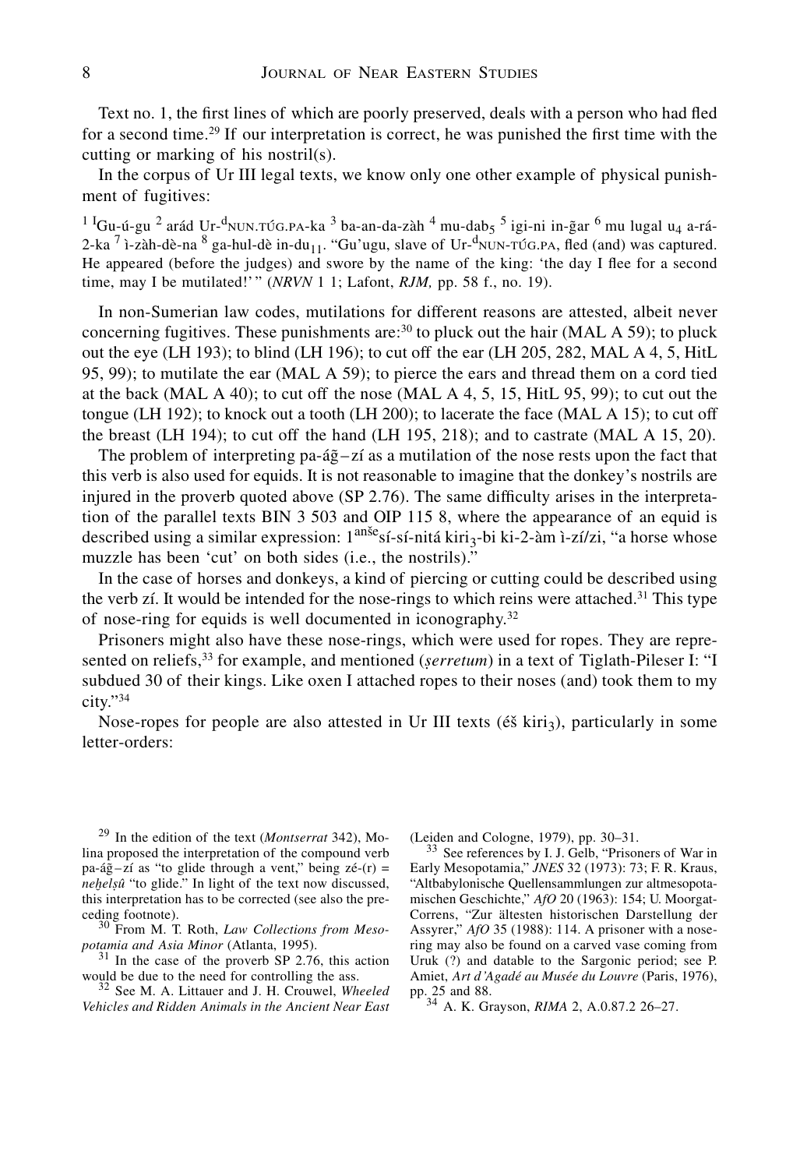Text no. 1, the first lines of which are poorly preserved, deals with a person who had fled for a second time.<sup>29</sup> If our interpretation is correct, he was punished the first time with the cutting or marking of his nostril(s).

In the corpus of Ur III legal texts, we know only one other example of physical punishment of fugitives:

 $^{11}$ Gu-ú-gu  $^{2}$  arád Ur- $^{d}$ nun. $\tau$ ú $_{G.}$ pa-ka  $^{3}$  ba-an-da-zàh  $^{4}$  mu-dab $_{5}$   $^{5}$  igi-ni in-ğar  $^{6}$  mu lugal u $_{4}$  a-rá-2-ka  $^7$  ì-zàh-dè-na  $^8$  ga-hul-dè in-du<sub>11</sub>. "Gu'ugu, slave of Ur-<sup>d</sup>NUN-TÚG.PA, fled (and) was captured. He appeared (before the judges) and swore by the name of the king: 'the day I flee for a second time, may I be mutilated!'" (*NRVN* 1 1; Lafont, *RJM,* pp. 58 f., no. 19).

In non-Sumerian law codes, mutilations for different reasons are attested, albeit never concerning fugitives. These punishments are: $30$  to pluck out the hair (MAL A 59); to pluck out the eye (LH 193); to blind (LH 196); to cut off the ear (LH 205, 282, MAL A 4, 5, HitL 95, 99); to mutilate the ear (MAL A 59); to pierce the ears and thread them on a cord tied at the back (MAL A 40); to cut off the nose (MAL A 4, 5, 15, HitL 95, 99); to cut out the tongue (LH 192); to knock out a tooth (LH 200); to lacerate the face (MAL A 15); to cut off the breast (LH 194); to cut off the hand (LH 195, 218); and to castrate (MAL A 15, 20).

The problem of interpreting pa-á $\tilde{g}$ –zí as a mutilation of the nose rests upon the fact that this verb is also used for equids. It is not reasonable to imagine that the donkey's nostrils are injured in the proverb quoted above (SP 2.76). The same difficulty arises in the interpretation of the parallel texts BIN 3 503 and OIP 115 8, where the appearance of an equid is described using a similar expression: 1<sup>anše</sup>sí-sí-nitá kiri<sub>3</sub>-bi ki-2-àm ì-zí/zi, "a horse whose muzzle has been 'cut' on both sides (i.e., the nostrils)."

In the case of horses and donkeys, a kind of piercing or cutting could be described using the verb zí. It would be intended for the nose-rings to which reins were attached.<sup>31</sup> This type of nose-ring for equids is well documented in iconography.32

Prisoners might also have these nose-rings, which were used for ropes. They are represented on reliefs,33 for example, and mentioned (*serretum*) in a text of Tiglath-Pileser I: "I subdued 30 of their kings. Like oxen I attached ropes to their noses (and) took them to my city."34

Nose-ropes for people are also attested in Ur III texts ( $\acute{\text{e}}\acute{\text{s}}$  kiri<sub>3</sub>), particularly in some letter-orders:

<sup>29</sup> In the edition of the text (*Montserrat* 342), Molina proposed the interpretation of the compound verb pa-á $\tilde{g}$ -zí as "to glide through a vent," being zé-(r) = *nehelsû* "to glide." In light of the text now discussed, this interpretation has to be corrected (see also the pre-

ceding footnote).<br><sup>30</sup> From M. T. Roth, *Law Collections from Meso-*<br>potamia and Asia Minor (Atlanta, 1995).

<sup>31</sup> In the case of the proverb SP 2.76, this action would be due to the need for controlling the ass.

<sup>32</sup> See M. A. Littauer and J. H. Crouwel, *Wheeled Vehicles and Ridden Animals in the Ancient Near East*

<sup>(</sup>Leiden and Cologne, 1979), pp. 30–31. <sup>33</sup> See references by I. J. Gelb, "Prisoners of War in Early Mesopotamia," *JNES* 32 (1973): 73; F. R. Kraus, "Altbabylonische Quellensammlungen zur altmesopotamischen Geschichte," *AfO* 20 (1963): 154; U. Moorgat-Correns, "Zur ältesten historischen Darstellung der Assyrer," *AfO* 35 (1988): 114. A prisoner with a nosering may also be found on a carved vase coming from Uruk (?) and datable to the Sargonic period; see P. Amiet, *Art d'Agadé au Musée du Louvre* (Paris, 1976),

pp. 25 and 88. <sup>34</sup> A. K. Grayson, *RIMA* 2, A.0.87.2 26–27.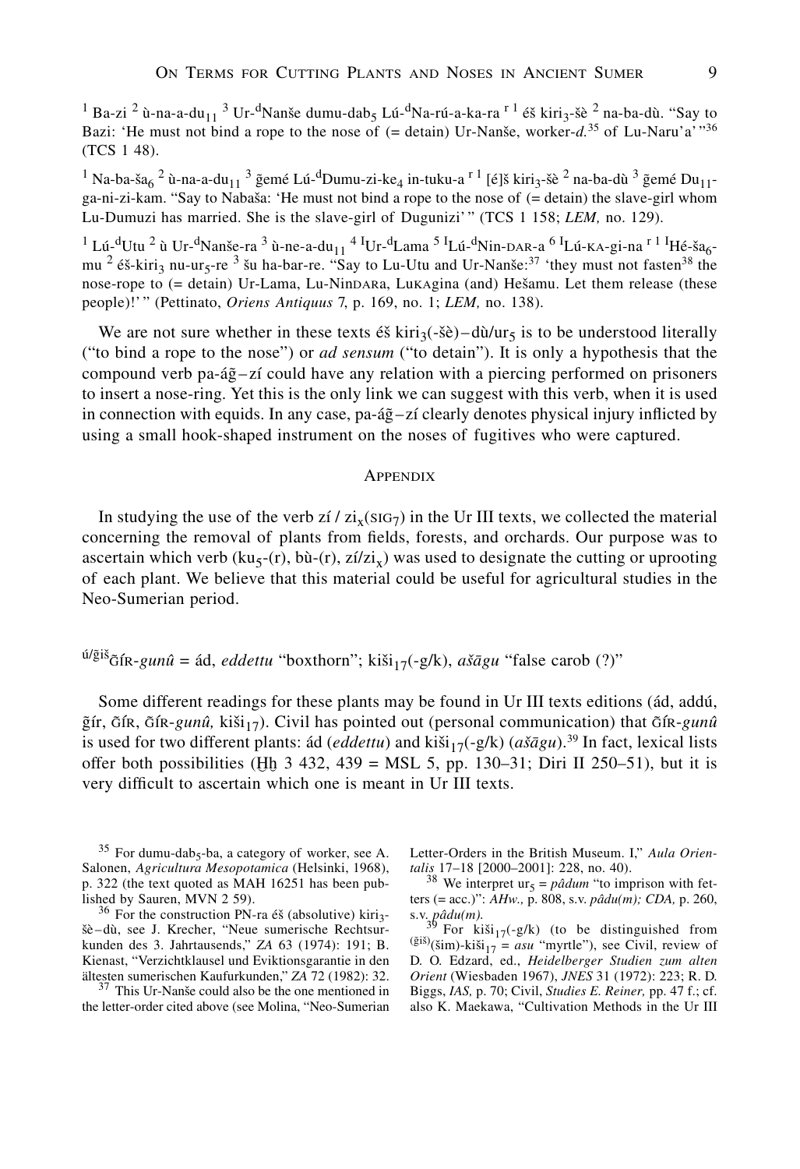<sup>1</sup> Ba-zi <sup>2</sup> ù-na-a-du<sub>11</sub> <sup>3</sup> Ur-<sup>d</sup>Nanše dumu-dab<sub>5</sub> Lú-<sup>d</sup>Na-rú-a-ka-ra <sup>r 1</sup> éš kiri<sub>3</sub>-šè <sup>2</sup> na-ba-dù. "Say to Bazi: 'He must not bind a rope to the nose of  $(=$  detain) Ur-Nanse, worker- $d^{35}$  of Lu-Naru'a'<sup>1</sup><sup>36</sup> (TCS 1 48).

 $^1$  Na-ba-ša $_6$   $^2$  ù-na-a-du $_{11}$   $^3$   $\tilde{g}$ emé Lú- $^{\rm d}$ Dumu-zi-ke $_4$  in-tuku-a  $^{\rm r}$   $^1$  [é]š kiri $_3$ -šè  $^2$  na-ba-dù  $^3$   $\tilde{g}$ emé Du $_{11}$ ga-ni-zi-kam. "Say to Nabasa: 'He must not bind a rope to the nose of (= detain) the slave-girl whom Lu-Dumuzi has married. She is the slave-girl of Dugunizi'" (TCS 1 158; *LEM,* no. 129).

<sup>1</sup> Lú-<sup>d</sup>Utu <sup>2</sup> ù Ur-<sup>d</sup>Nanše-ra <sup>3</sup> ù-ne-a-du<sub>11</sub> <sup>4 I</sup>Ur-<sup>d</sup>Lama <sup>5 I</sup>Lú-<sup>d</sup>Nin-DAR-a <sup>6 I</sup>Lú-KA-gi-na <sup>r 1 I</sup>Hé-ša<sub>6</sub>mu <sup>2</sup> éš-kiri<sub>3</sub> nu-ur<sub>5</sub>-re <sup>3</sup> šu ha-bar-re. "Say to Lu-Utu and Ur-Nanše:<sup>37</sup> 'they must not fasten<sup>38</sup> the nose-rope to (= detain) Ur-Lama, Lu-Nindara, Lukagina (and) Hesamu. Let them release (these people)!' " (Pettinato, *Oriens Antiquus* 7, p. 169, no. 1; *LEM,* no. 138).

We are not sure whether in these texts  $\acute{\text{e}}\acute{\text{s}}$  kiri<sub>3</sub>(- $\acute{\text{e}}\acute{\text{e}}$ )–dù/ur<sub>5</sub> is to be understood literally ("to bind a rope to the nose") or *ad sensum* ("to detain"). It is only a hypothesis that the compound verb pa-á $\tilde{g}$ –zí could have any relation with a piercing performed on prisoners to insert a nose-ring. Yet this is the only link we can suggest with this verb, when it is used in connection with equids. In any case,  $pa-4\tilde{g}-z\tilde{i}$  clearly denotes physical injury inflicted by using a small hook-shaped instrument on the noses of fugitives who were captured.

#### **APPENDIX**

In studying the use of the verb zí /  $zi_x$ (sig<sub>7</sub>) in the Ur III texts, we collected the material concerning the removal of plants from fields, forests, and orchards. Our purpose was to ascertain which verb (ku<sub>5</sub>-(r), bù-(r), zí/zi<sub>x</sub>) was used to designate the cutting or uprooting of each plant. We believe that this material could be useful for agricultural studies in the Neo-Sumerian period.

# <sup>ú/ğiš</sup>õí $R$ -*gunû* = ád, *eddettu* "boxthorn"; kiši<sub>17</sub>(-g/k), *ašāgu* "false carob (?)"

Some different readings for these plants may be found in Ur III texts editions (ád, addú,  $\tilde{g}$ ír, Gín, Gín-*gunû*, kiši<sub>17</sub>). Civil has pointed out (personal communication) that Gín-*gunû* is used for two different plants: ád (*eddettu*) and kiši<sub>17</sub>(-g/k) ( $a\tilde{a}gu$ ).<sup>39</sup> In fact, lexical lists offer both possibilities (Hh  $3\,432$ ,  $439 = MSL 5$ , pp. 130–31; Diri II 250–51), but it is very difficult to ascertain which one is meant in Ur III texts.

 $35$  For dumu-dab<sub>5</sub>-ba, a category of worker, see A. Salonen, *Agricultura Mesopotamica* (Helsinki, 1968), p. 322 (the text quoted as MAH 16251 has been published by Sauren, MVN 2 59).<br> $36 \text{ For the construction PN-ra } 68 \text{ (absolute) kiri-}$ 

sè–dù, see J. Krecher, "Neue sumerische Rechtsurkunden des 3. Jahrtausends," *ZA* 63 (1974): 191; B. Kienast, "Verzichtklausel und Eviktionsgarantie in den ältesten sumerischen Kaufurkunden," ZA 72 (1982): 32.

<sup>37</sup> This Ur-Nanše could also be the one mentioned in the letter-order cited above (see Molina, "Neo-Sumerian Letter-Orders in the British Museum. I," *Aula Orientalis* 17–18 [2000–2001]: 228, no. 40). <sup>38</sup> We interpret ur<sub>5</sub> = *pâdum* "to imprison with fet-

ters (= acc.)": *AHw.,* p. 808, s.v. *pâdu(m); CDA,* p. 260,

s.v. *pâdu(m)*.<br><sup>39</sup> For kiši<sub>17</sub>(-g/k) (to be distinguished from<br>( $\frac{\text{gis}}{\text{s}}$ ) (sim)-kiši-z = *asu* "myrtle") see Civil review of  $(\check{g}^{i\check{s}})(\check{s}im)$ -ki $\check{s}i_{17} = asu$  "myrtle"), see Civil, review of D. O. Edzard, ed., *Heidelberger Studien zum alten Orient* (Wiesbaden 1967), *JNES* 31 (1972): 223; R. D. Biggs, *IAS,* p. 70; Civil, *Studies E. Reiner,* pp. 47 f.; cf. also K. Maekawa, "Cultivation Methods in the Ur III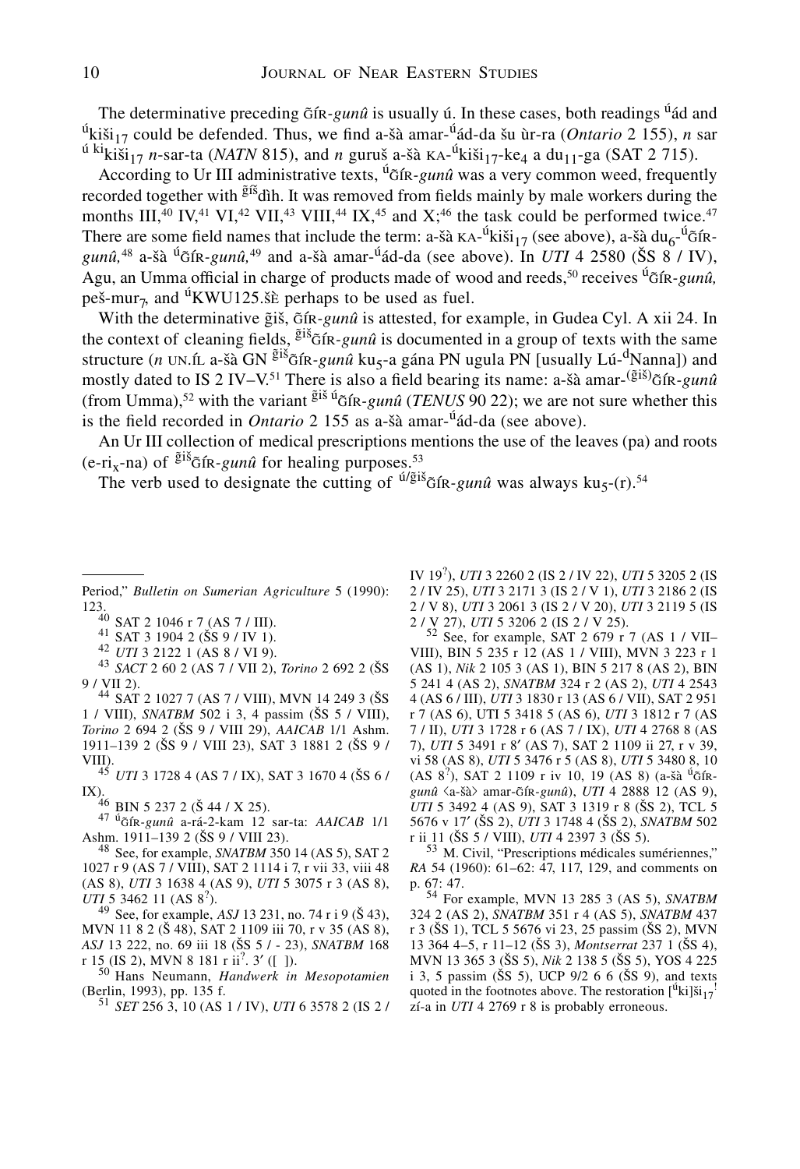The determinative preceding  $\tilde{G}$ fr-*gunû* is usually ú. In these cases, both readings <sup>ú</sup>ád and <sup>ú</sup>kiši<sub>17</sub> could be defended. Thus, we find a-šà amar-<sup>ú</sup>ád-da šu ùr-ra (*Ontario* 2 155), *n* sar  $\frac{d}{dx}$ kiki $\frac{d}{dt}$ <sub>17</sub> *n*-sar-ta (*NATN* 815), and *n* gurus a-sà  $\kappa$ A-<sup> $\dot{d}$ </sup>kisi<sub>17</sub>-ke<sub>4</sub> a du<sub>11</sub>-ga (SAT 2 715).

According to Ur III administrative texts, <sup>ú</sup>gin-*gunû* was a very common weed, frequently recorded together with  $\tilde{g}$ <sup>fš</sup>dìh. It was removed from fields mainly by male workers during the months III,<sup>40</sup> IV,<sup>41</sup> VI,<sup>42</sup> VII,<sup>43</sup> VIII,<sup>44</sup> IX,<sup>45</sup> and X<sup>46</sup> the task could be performed twice.<sup>47</sup> There are some field names that include the term: a-šà  $KA^{-1}k i \tilde{s}i_{17}$  (see above), a-šà  $du_6^{-1} \tilde{s}iR$  $gun\hat{u}$ ,<sup>48</sup> a-šà <sup>ú</sup> in *um*<sub>49</sub> and a-šà amar-<sup>ú</sup> ad-da (see above). In *UTI* 4 2580 (ŠS 8 / IV), Agu, an Umma official in charge of products made of wood and reeds,<sup>50</sup> receives <sup>ú</sup>g fr-*gunû*, peš-mur<sub>7</sub>, and <sup>ú</sup>KWU125. see perhaps to be used as fuel.

With the determinative gis,  $G$ f $R$ -gunû is attested, for example, in Gudea Cyl. A xii 24. In the context of cleaning fields,  $\tilde{g}^{i\tilde{\delta}}$ GIR-gunû is documented in a group of texts with the same structure (*n* UN.íL a-šà GN <sup>giš</sup> $G$ ík-*gunû* ku<sub>5</sub>-a gána PN ugula PN [usually Lú- $\frac{dN}{dx}$ anna]) and mostly dated to IS 2 IV-V.<sup>51</sup> There is also a field bearing its name: a-šà amar-<sup>(ğiš)</sup> $\tilde{g}$ fk-*gunû* (from Umma),<sup>52</sup> with the variant  $\frac{\tilde{g}i\tilde{s}}{i\tilde{G}}$  in *quali* (*TENUS* 90 22); we are not sure whether this is the field recorded in *Ontario* 2 155 as a-sà amar-úád-da (see above).

An Ur III collection of medical prescriptions mentions the use of the leaves (pa) and roots (e-ri<sub>x</sub>-na) of  $\frac{\tilde{g}$ iš<sub> $\tilde{G}$ </sub> free *gunû* for healing purposes.<sup>53</sup>

The verb used to designate the cutting of  $\frac{u}{g}$ <sup>is</sup>  $\frac{f}{g}$  in  $\frac{g}{m}$  was always ku<sub>5</sub>-(r).<sup>54</sup>

Period," *Bulletin on Sumerian Agriculture* 5 (1990):

123.<br><sup>40</sup> SAT 2 1046 r 7 (AS 7 / III).<br><sup>41</sup> SAT 3 1904 2 (ŠS 9 / IV 1).<br><sup>42</sup> *UTI* 3 2122 1 (AS 8 / VI 9).<br><sup>43</sup> *SACT* 2 60 2 (AS 7 / VII 2), *Torino* 2 692 2 (ŠS<br>9 / VII 2).

<sup>44</sup> SAT 2 1027 7 (AS 7 / VIII), MVN 14 249 3 (ŠS 1 / VIII), *SNATBM* 502 i 3, 4 passim (SS 5 / VIII), *Torino* 2 694 2 (SS 9 / VIII 29), *AAICAB* 1/1 Ashm. 1911–139 2 (SS 9 / VIII 23), SAT 3 1881 2 (SS 9 / VIII). <sup>45</sup> *UTI* 3 1728 4 (AS 7 / IX), SAT 3 1670 4 (SS 6 /

IX).46 BIN 5 237 2 (<sup>S</sup> 44 / X 25). 47 úg\$ír*-gunû* a-rá-2-kam 12 sar-ta: *AAICAB* 1/1

Ashm. 1911–139 2 (SS 9 / VIII 23). <sup>48</sup> See, for example, *SNATBM* 350 14 (AS 5), SAT 2

1027 r 9 (AS 7 / VIII), SAT 2 1114 i 7, r vii 33, viii 48 (AS 8), *UTI* 3 1638 4 (AS 9), *UTI* 5 3075 r 3 (AS 8), *UTI* 5 3462 11 (AS 8<sup>2</sup>).

<sup>49</sup> See, for example, *ASJ* 13 231, no. 74 r i 9 (Š 43), MVN 11 8 2 (S 48), SAT 2 1109 iii 70, r v 35 (AS 8), *ASJ* 13 222, no. 69 iii 18 (SS 5 / - 23), *SNATBM* 168 r 15 (IS 2), MVN 8 181 r ii<sup>2</sup>. 3' ([ ]).

<sup>50</sup> Hans Neumann, *Handwerk in Mesopotamien* (Berlin, 1993), pp. 135 f.

(Berlin, 1993), pp. 135 f. <sup>51</sup> *SET* 256 3, 10 (AS 1 / IV), *UTI* 6 3578 2 (IS 2 /

IV 19? ), *UTI* 3 2260 2 (IS 2 / IV 22), *UTI* 5 3205 2 (IS 2 / IV 25), *UTI* 3 2171 3 (IS 2 / V 1), *UTI* 3 2186 2 (IS 2 / V 8), *UTI* 3 2061 3 (IS 2 / V 20), *UTI* 3 2119 5 (IS 2 / V 27), *UTI* 5 3206 2 (IS 2 / V 25). <sup>52</sup> See, for example, SAT 2 679 r 7 (AS 1 / VII–

VIII), BIN 5 235 r 12 (AS 1 / VIII), MVN 3 223 r 1 (AS 1), *Nik* 2 105 3 (AS 1), BIN 5 217 8 (AS 2), BIN 5 241 4 (AS 2), *SNATBM* 324 r 2 (AS 2), *UTI* 4 2543 4 (AS 6 / III), *UTI* 3 1830 r 13 (AS 6 / VII), SAT 2 951 r 7 (AS 6), UTI 5 3418 5 (AS 6), *UTI* 3 1812 r 7 (AS 7 / II), *UTI* 3 1728 r 6 (AS 7 / IX), *UTI* 4 2768 8 (AS 7), *UTI* 5 3491 r 8' (AS 7), SAT 2 1109 ii 27, r v 39, vi 58 (AS 8), *UTI* 5 3476 r 5 (AS 8), *UTI* 5 3480 8, 10 (AS 8<sup>?</sup>), SAT 2 1109 r iv 10, 19 (AS 8) (a-šà <sup>ú</sup>õír*gunû* fia-sàfl amar-g\$ír*-gunû*), *UTI* 4 2888 12 (AS 9), *UTI* 5 3492 4 (AS 9), SAT 3 1319 r 8 (ŠS 2), TCL 5 5676 v 17' (ŠS 2), *UTI* 3 1748 4 (ŠS 2), *SNATBM* 502 r ii 11 (ŠS 5 / VIII), *UTI* 4 2397 3 (ŠS 5).

<sup>53</sup> M. Civil, "Prescriptions médicales sumériennes," *RA* 54 (1960): 61–62: 47, 117, 129, and comments on p. 67: 47.

p. 67: 47. <sup>54</sup> For example, MVN 13 285 3 (AS 5), *SNATBM* 324 2 (AS 2), *SNATBM* 351 r 4 (AS 5), *SNATBM* 437 r 3 (SS 1), TCL 5 5676 vi 23, 25 passim (SS 2), MVN 13 364 4–5, r 11–12 (SS 3), *Montserrat* 237 1 (SS 4), MVN 13 365 3 (SS 5), *Nik* 2 138 5 (SS 5), YOS 4 225 i 3, 5 passim ( $\hat{S}S$  5), UCP 9/2 6 6 ( $\hat{S}S$  9), and texts quoted in the footnotes above. The restoration  $\binom{u}{k}i j^2$ zí-a in *UTI* 4 2769 r 8 is probably erroneous.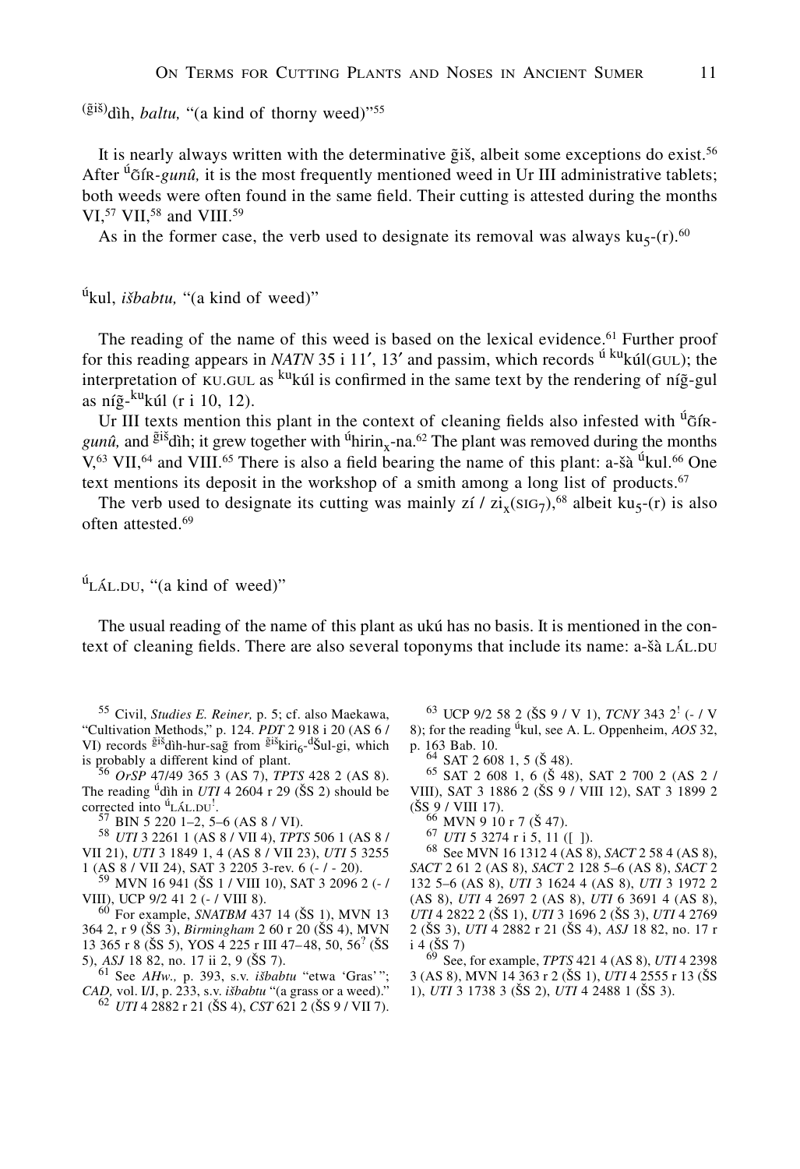<sup>(ğiš)</sup>dìh, *baltu*, "(a kind of thorny weed)"<sup>55</sup>

It is nearly always written with the determinative  $\tilde{g}$  is, albeit some exceptions do exist.<sup>56</sup> After  $^{u}$   $\tilde{\sigma}$  fix-*gunû*, it is the most frequently mentioned weed in Ur III administrative tablets; both weeds were often found in the same field. Their cutting is attested during the months VI, $57$  VII, $58$  and VIII. $59$ 

As in the former case, the verb used to designate its removal was always  $ku<sub>5</sub>-(r).<sup>60</sup>$ 

úkul, *isbabtu,* "(a kind of weed)"

The reading of the name of this weed is based on the lexical evidence.<sup>61</sup> Further proof for this reading appears in *NATN* 35 i 11', 13' and passim, which records <sup>ú ku</sup>kúl(GUL); the interpretation of KU.GUL as <sup>ku</sup>kúl is confirmed in the same text by the rendering of níg-gul as níg-<sup>ku</sup>kúl (r i 10, 12).

Ur III texts mention this plant in the context of cleaning fields also infested with <sup>ú</sup>GÍR $gun\hat{u}$ , and <sup>giš</sup>dìh; it grew together with <sup>ú</sup>hirin<sub>x</sub>-na.<sup>62</sup> The plant was removed during the months  $V<sub>1</sub><sup>63</sup>$  VII,<sup>64</sup> and VIII.<sup>65</sup> There is also a field bearing the name of this plant: a-šà <sup>ú</sup>kul.<sup>66</sup> One text mentions its deposit in the workshop of a smith among a long list of products. $67$ 

The verb used to designate its cutting was mainly zí /  $zi_x(SIG_7)$ ,<sup>68</sup> albeit ku<sub>5</sub>-(r) is also often attested.<sup>69</sup>

 $^{\dot{u}}$ LÁL.DU, "(a kind of weed)"

The usual reading of the name of this plant as ukú has no basis. It is mentioned in the context of cleaning fields. There are also several toponyms that include its name: a-sà LÁL.DU

<sup>55</sup> Civil, *Studies E. Reiner,* p. 5; cf. also Maekawa, "Cultivation Methods," p. 124. *PDT* 2 918 i 20 (AS 6 / VI) records  $\tilde{g}$ <sup>iš</sup>dìh-hur-sa $\tilde{g}$  from  $\tilde{g}$ <sup>iš</sup>kiri<sub>6</sub>-<sup>d</sup>Šul-gi, which is probably a different kind of plant. <sup>56</sup> *OrSP* 47/49 365 3 (AS 7), *TPTS* 428 2 (AS 8).

The reading <sup>ú</sup>dìh in *UTI* 4 2604 r 29 ( $\tilde{S}S$  2) should be corrected into  ${}^{0}$ LÁL.DU<sup>1</sup>.<br><sup>57</sup> BIN 5 220 1–2, 5–6 (AS 8 / VI).

. <sup>57</sup> BIN 5 220 1–2, 5–6 (AS 8 / VI). <sup>58</sup> *UTI* 3 2261 1 (AS 8 / VII 4), *TPTS* 506 1 (AS 8 / VII 21), *UTI* 3 1849 1, 4 (AS 8 / VII 23), *UTI* 5 3255

1 (AS 8 / VII 24), SAT 3 2205 3-rev. 6 (- / - 20).<br><sup>59</sup> MVN 16 941 (ŠS 1 / VIII 10), SAT 3 2096 2 (- / VIII), UCP 9/2 41 2 (- / VIII 8).

<sup>60</sup> For example, *SNATBM* 437 14 (ŠS 1), MVN 13 364 2, r 9 (SS 3), *Birmingham* 2 60 r 20 (SS 4), MVN 13 365 r 8 (ŠS 5), YOS 4 225 r III 47-48, 50, 56<sup>?</sup> (ŠS

5), *ASJ* 18 82, no. 17 ii 2, 9 (ŠS 7).<br><sup>61</sup> See *AHw.*, p. 393, s.v. *išbabtu* "etwa 'Gras'";<br>*CAD*, vol. I/J, p. 233, s.v. *išbabtu* "(a grass or a weed)." *CAD,* vol. I/J, p. 233, s.v. *isbabtu* "(a grass or a weed)." <sup>62</sup> *UTI* 4 2882 r 21 (SS 4), *CST* 621 2 (SS 9 / VII 7).

<sup>63</sup> UCP 9/2 58 2 (SS 9 / V 1), *TCNY* 343 2! (- / V 8); for the reading úkul, see A. L. Oppenheim, *AOS* 32,

 $64$  SAT 2 608 1, 5 (Š 48).<br>
<sup>65</sup> SAT 2 608 1, 6 (Š 48), SAT 2 700 2 (AS 2 / VIII), SAT 3 1886 2 (SS 9 / VIII 12), SAT 3 1899 2  $(\text{SS } 9 / \text{VIII } 17)$ .<br><sup>66</sup> MVN 9 10 r 7 (Š 47).

<sup>67</sup> *UTI* 5 3274 r i 5, 11 ([ ]).<br><sup>68</sup> See MVN 16 1312 4 (AS 8), *SACT* 2 58 4 (AS 8), *SACT* 2 61 2 (AS 8), *SACT* 2 128 5–6 (AS 8), *SACT* 2 132 5–6 (AS 8), *UTI* 3 1624 4 (AS 8), *UTI* 3 1972 2 (AS 8), *UTI* 4 2697 2 (AS 8), *UTI* 6 3691 4 (AS 8), *UTI* 4 2822 2 (SS 1), *UTI* 3 1696 2 (SS 3), *UTI* 4 2769 2 (SS 3), *UTI* 4 2882 r 21 (SS 4), *ASJ* 18 82, no. 17 r  $i$  4 ( $\check{S}S$  7)

<sup>69</sup> See, for example, *TPTS* 421 4 (AS 8), *UTI* 4 2398 3 (AS 8), MVN 14 363 r 2 (SS 1), *UTI* 4 2555 r 13 (SS 1), *UTI* 3 1738 3 (SS 2), *UTI* 4 2488 1 (SS 3).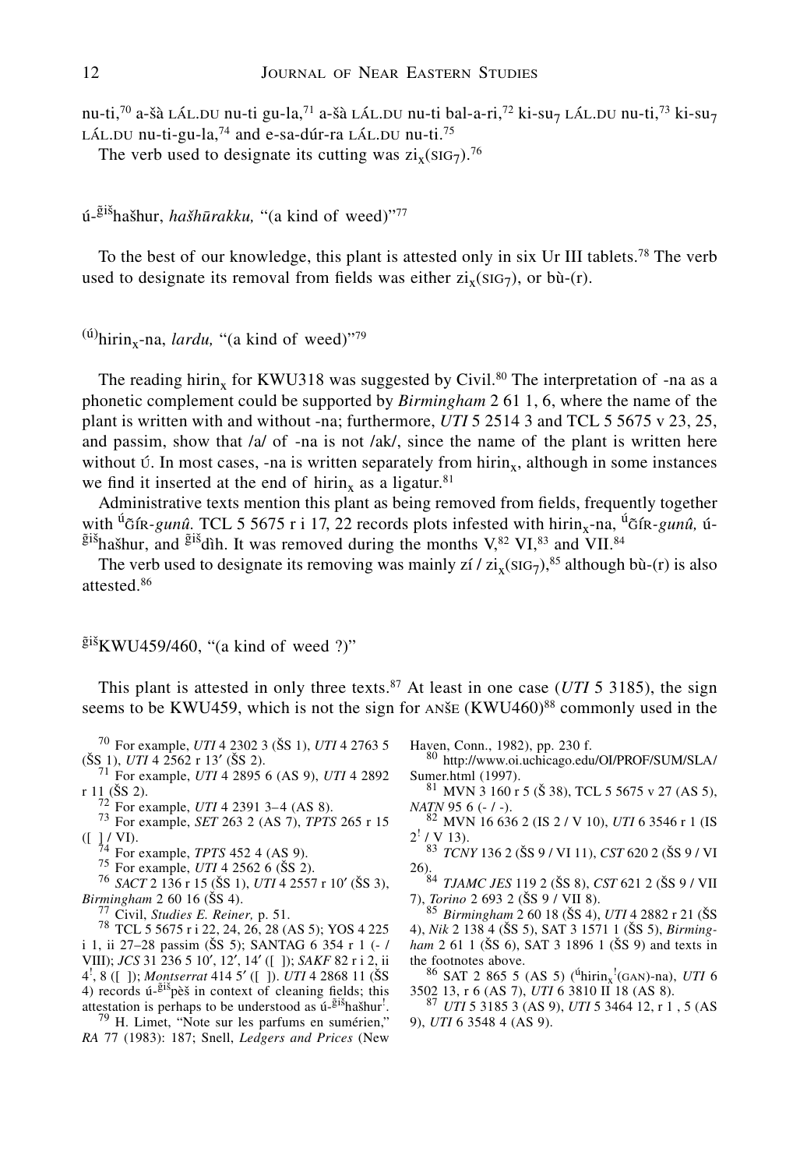nu-ti,<sup>70</sup> a-šà LÁL.DU nu-ti gu-la,<sup>71</sup> a-šà LÁL.DU nu-ti bal-a-ri,<sup>72</sup> ki-su<sub>7</sub> LÁL.DU nu-ti,<sup>73</sup> ki-su<sub>7</sub> LÁL.DU nu-ti-gu-la, $^{74}$  and e-sa-dúr-ra LÁL.DU nu-ti.<sup>75</sup>

The verb used to designate its cutting was  $\overline{\text{zi}_{x}}(\text{SIG}_{7})$ .<sup>76</sup>

# ú-<sup>ğiš</sup>hašhur, *hašhūrakku*, "(a kind of weed)"<sup>77</sup>

To the best of our knowledge, this plant is attested only in six Ur III tablets.<sup>78</sup> The verb used to designate its removal from fields was either  $zi_x(SIG_7)$ , or bù-(r).

```
^{(u)}hirin<sub>x</sub>-na, lardu, "(a kind of weed)"<sup>79</sup>
```
The reading hirin<sub>x</sub> for KWU318 was suggested by Civil.<sup>80</sup> The interpretation of -na as a phonetic complement could be supported by *Birmingham* 2 61 1, 6, where the name of the plant is written with and without -na; furthermore, *UTI* 5 2514 3 and TCL 5 5675 v 23, 25, and passim, show that /a/ of -na is not /ak/, since the name of the plant is written here without  $\acute{v}$ . In most cases, -na is written separately from hirin<sub>x</sub>, although in some instances we find it inserted at the end of hirin<sub>x</sub> as a ligatur.<sup>81</sup>

Administrative texts mention this plant as being removed from fields, frequently together with <sup>ú</sup> ifx-gunû. TCL 5 5675 r i 17, 22 records plots infested with hirin<sub>x</sub>-na, <sup>ú</sup> ifx-gunû, ú- $\tilde{g}$ išhašhur, and  $\tilde{g}$ išdìh. It was removed during the months V,<sup>82</sup> VI,<sup>83</sup> and VII.<sup>84</sup>

The verb used to designate its removing was mainly  $\chi i / \chi i_{x}(sIG_7)^{85}$  although bù-(r) is also attested.86

 $\tilde{g}$ iš<sub>KWU459/460, "(a kind of weed ?)"</sub>

This plant is attested in only three texts.<sup>87</sup> At least in one case ( $UTI$  5 3185), the sign seems to be KWU459, which is not the sign for ANSE  $(KWU460)^{88}$  commonly used in the

<sup>70</sup> For example, *UTI* 4 2302 3 (ŠS 1), *UTI* 4 2763 5 (ŠS 1), *UTI* 4 2562 r 13' (ŠS 2).

<sup>71</sup> For example, *UTI* 4 2895 6 (AS 9), *UTI* 4 2892 r 1<sub>1</sub> (ŠS 2).

r 11 (SS 2). <sup>72</sup> For example, *UTI* 4 2391 3–4 (AS 8). <sup>73</sup> For example, *SET* 263 2 (AS 7), *TPTS* 265 r 15

([ ] / VI).<br>
<sup>74</sup> For example, *TPTS* 452 4 (AS 9).<br>
<sup>75</sup> For example, *UTI* 4 2562 6 (ŠS 2).<br>
<sup>76</sup> *SACT* 2 136 r 15 (ŠS 1), *UTI* 4 2557 r 10' (ŠS 3),<br> *Birmingham* 2 60 16 (ŠS 4).

<sup>77</sup> Civil, *Studies E. Reiner*, p. 51.<br><sup>78</sup> TCL 5 5675 r i 22, 24, 26, 28 (AS 5); YOS 4 225 i 1, ii 27–28 passim (SS 5); SANTAG 6 354 r 1 (- / VIII); *JCS* 31 236 5 10', 12', 14' ([ ]); *SAKF* 82 r i 2, ii  $4^1$ ,  $8$  ([ ]); *Montserrat*  $414.5'$  ([ ]). *UTI* 4 2868 11 (SS)<br>4) records  $1.5^{18}$  records  $1.6^{18}$  in context of cleaning fields; this 4) records  $\acute{u}$ - $\ddot{g}$ is pès in context of cleaning fields; this attestation is perhaps to be understood as ú-<sup>giš</sup>hašhur <sup>79</sup> H. Limet, "Note sur les parfums en sumérien,"

*RA* 77 (1983): 187; Snell, *Ledgers and Prices* (New

Haven, Conn., 1982), pp. 230 f.<br><sup>80</sup> http://www.oi.uchicago.edu/OI/PROF/SUM/SLA/

Sumer.html (1997).<br><sup>81</sup> MVN 3 160 r 5 (Š 38), TCL 5 5675 v 27 (AS 5), *NATN* 95 6 (- / -).

<sup>82</sup> MVN 16 636 2 (IS 2 / V 10), *UTI* 6 3546 r 1 (IS  $2^{\frac{1}{2}}$  / V 13).

<sup>83</sup> *TCNY* 136 2 (SS 9 / VI 11), *CST* 620 2 (SS 9 / VI

26).<br><sup>84</sup> *TJAMC JES* 119 2 (ŠS 8), *CST* 621 2 (ŠS 9 / VII<br>7), *Torino* 2 693 2 (ŠS 9 / VII 8).

7), *Torino* 2 693 2 (SS 9 / VII 8). <sup>85</sup> *Birmingham* 2 60 18 (SS 4), *UTI* 4 2882 r 21 (S<sup>S</sup> 4), *Nik* 2 138 4 (SS 5), SAT 3 1571 1 (SS 5), *Birmingham* 2 61 1 (ŠS 6), SAT 3 1896 1 (ŠS 9) and texts in the footnotes above.

the footnotes above.<br><sup>86</sup> SAT 2 865 5 (AS 5) ( $\frac{6 \text{hirin}_x!}{\text{Gain} \cdot \text{Gain}}}$  (GAN)-na), *UTI* 6 3502 13, r 6 (AS 7), *UTI* 6 3810 II 18 (AS 8). <sup>87</sup> *UTI* 5 3185 3 (AS 9), *UTI* 5 3464 12, r 1 , 5 (AS

9), *UTI* 6 3548 4 (AS 9).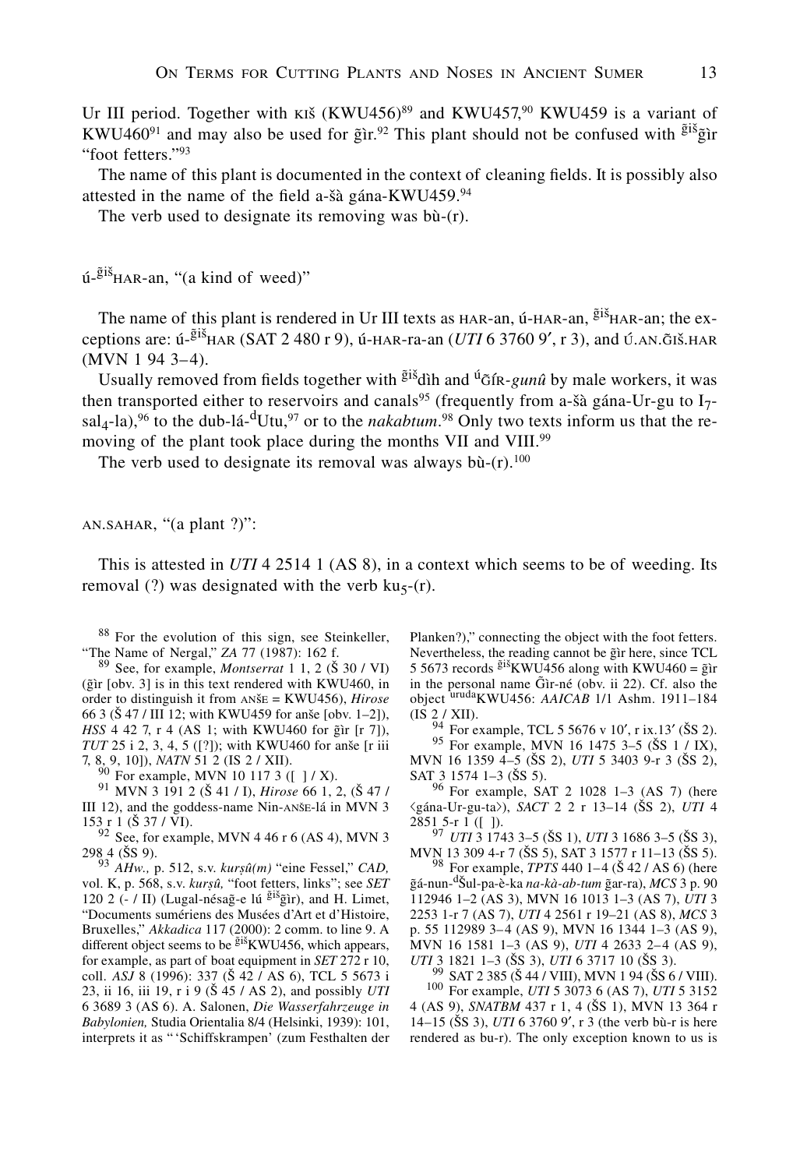Ur III period. Together with KIŠ (KWU456)<sup>89</sup> and KWU457,<sup>90</sup> KWU459 is a variant of KWU460<sup>91</sup> and may also be used for  $\tilde{g}$ ir.<sup>92</sup> This plant should not be confused with  $\tilde{g}$ is  $\tilde{g}$ ir "foot fetters."93

The name of this plant is documented in the context of cleaning fields. It is possibly also attested in the name of the field a-šà gána-KWU459.<sup>94</sup>

The verb used to designate its removing was bù-(r).

ú-<sup>ğiš</sup><sub>HAR-an, "(a kind of weed)"</sub>

The name of this plant is rendered in Ur III texts as HAR-an, ú-HAR-an,  $\tilde{g}$ <sup>iš</sup>HAR-an; the exceptions are: ú-<sup>ğiš</sup>har (SAT 2 480 r 9), ú-har-ra-an (*UTI* 6 3760 9', r 3), and ú.an.giš.har<br>(MVN 1 94 3–4) (MVN 1 94 3–4).

Usually removed from fields together with <sup>giš</sup>dìh and <sup>ú</sup>g̃ír-*gunû* by male workers, it was then transported either to reservoirs and canals<sup>95</sup> (frequently from a-šà gána-Ur-gu to  $I_7$  $sal_4$ -la),<sup>96</sup> to the dub-lá-<sup>d</sup>Utu,<sup>97</sup> or to the *nakabtum*.<sup>98</sup> Only two texts inform us that the removing of the plant took place during the months VII and VIII.<sup>99</sup>

The verb used to designate its removal was always bù- $(r)$ .<sup>100</sup>

an.sahar, "(a plant ?)":

This is attested in *UTI* 4 2514 1 (AS 8), in a context which seems to be of weeding. Its removal (?) was designated with the verb  $ku<sub>5</sub>-(r)$ .

<sup>88</sup> For the evolution of this sign, see Steinkeller, "The Name of Nergal," ZA 77 (1987): 162 f.

<sup>89</sup> See, for example, *Montserrat* 1 1, 2 (Š 30 / VI)  $({\rm \tilde{g}ir}$  [obv. 3] is in this text rendered with KWU460, in order to distinguish it from anse = KWU456), *Hirose* 66 3 ( $\check{S}$  47 / III 12; with KWU459 for anse [obv. 1–2]), *HSS* 4 42 7, r 4 (AS 1; with KWU460 for gir [r 7]), *TUT* 25 i 2, 3, 4, 5 ([?]); with KWU460 for anse [r iii 7, 8, 9, 10]), *NATN* 51 2 (IS 2 / XII).

<sup>90</sup> For example, MVN 10 117 3 ([ ] / X).<br><sup>91</sup> MVN 3 191 2 (Š 41 / I), *Hirose* 66 1, 2, (Š 47 / III 12), and the goddess-name Nin-ANŠE-lá in MVN 3 153 r 1 ( $\check{S}$  37 / VI).

 $92$  See, for example, MVN 4 46 r 6 (AS 4), MVN 3 298 4 (SS 9). <sup>93</sup> *AHw.,* p. 512, s.v. *kursû(m)* "eine Fessel," *CAD,*

vol. K, p. 568, s.v. *kursû,* "foot fetters, links"; see *SET* 120 2 (- / II) (Lugal-nésag-e lú  $\frac{\tilde{g}i\tilde{s}}{\tilde{g}}$ ir), and H. Limet, "Documents sumériens des Musées d'Art et d'Histoire, Bruxelles," *Akkadica* 117 (2000): 2 comm. to line 9. A different object seems to be  $\frac{\tilde{g}^{iS}}{N}$ KWU456, which appears, for example, as part of boat equipment in *SET* 272 r 10, coll. *ASJ* 8 (1996): 337 (Š 42 / AS 6), TCL 5 5673 i 23, ii 16, iii 19, r i 9 (S 45 / AS 2), and possibly *UTI* 6 3689 3 (AS 6). A. Salonen, *Die Wasserfahrzeuge in Babylonien,* Studia Orientalia 8/4 (Helsinki, 1939): 101, interprets it as " 'Schiffskrampen' (zum Festhalten der

Planken?)," connecting the object with the foot fetters. Nevertheless, the reading cannot be gir here, since TCL 5 5673 records  $\frac{\tilde{g} i \tilde{s}}{\text{KW}}$ KWU456 along with KWU460 =  $\tilde{g}$ ir in the personal name  $\tilde{G}$ ìr-né (obv. ii 22). Cf. also the object <sup>uruda</sup>KWU456: *AAICAB* 1/1 Ashm. 1911–184 (IS 2 / XII).

 $\frac{24}{94}$  For example, TCL 5 5676 v 10', r ix.13' (SS 2).<br>
95 For example, MVN 16 1475 3–5 (SS 1 / IX), MVN 16 1359 4–5 (SS 2), *UTI* 5 3403 9-r 3 (SS 2), SAT 3 1574 1–3 (ŠS 5).

 $96$  For example, SAT 2 1028 1-3 (AS 7) (here figána-Ur-gu-tafl), *SACT* 2 2 r 13–14 (SS 2), *UTI* 4

<sup>97</sup> *UTI* 3 1743 3–5 (ŠS 1), *UTI* 3 1686 3–5 (ŠS 3), MVN 13 309 4-r 7 (SS 5), SAT 3 1577 r 11–13 (SS 5). <sup>98</sup> For example, *TPTS* 440 1–4 (<sup>S</sup> 42 / AS 6) (here

 $\tilde{g}$ á-nun-<sup>d</sup>Šul-pa-è-ka *na-kà-ab-tum* ḡar-ra), *MCS* 3 p. 90 112946 1–2 (AS 3), MVN 16 1013 1–3 (AS 7), *UTI* 3 2253 1-r 7 (AS 7), *UTI* 4 2561 r 19–21 (AS 8), *MCS* 3 p. 55 112989 3–4 (AS 9), MVN 16 1344 1–3 (AS 9), MVN 16 1581 1–3 (AS 9), *UTI* 4 2633 2–4 (AS 9),

<sup>99</sup> SAT 2 385 (Š 44 / VIII), MVN 1 94 (ŠS 6 / VIII). <sup>100</sup> For example, *UTI* 5 3073 6 (AS 7), *UTI* 5 3152 4 (AS 9), *SNATBM* 437 r 1, 4 (SS 1), MVN 13 364 r 14–15 (ŠS 3), *UTI* 6 3760 9', r 3 (the verb bù-r is here rendered as bu-r). The only exception known to us is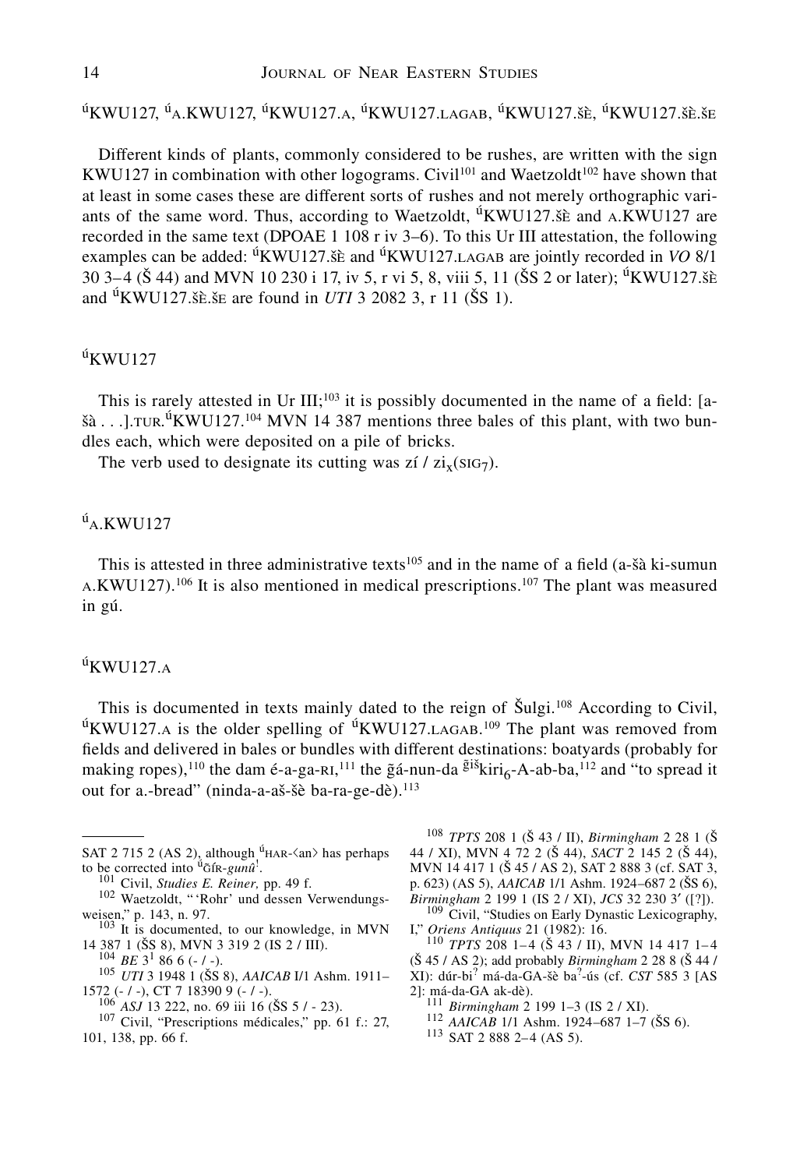<sup>ú</sup>KWU127, <sup>ú</sup>A.KWU127, <sup>ú</sup>KWU127.a, <sup>ú</sup>KWU127.Lagab, <sup>ú</sup>KWU127.šè, <sup>ú</sup>KWU127.šè.še

Different kinds of plants, commonly considered to be rushes, are written with the sign KWU127 in combination with other logograms. Civil<sup>101</sup> and Waetzoldt<sup>102</sup> have shown that at least in some cases these are different sorts of rushes and not merely orthographic variants of the same word. Thus, according to Waetzoldt,  ${}^{0}$ KWU127. $\delta \hat{\epsilon}$  and A.KWU127 are recorded in the same text (DPOAE 1 108 r iv 3–6). To this Ur III attestation, the following examples can be added: <sup>ú</sup>KWU127.šè and <sup>ú</sup>KWU127.LAGAB are jointly recorded in *VO* 8/1 30 3–4 (Š 44) and MVN 10 230 i 17, iv 5, r vi 5, 8, viii 5, 11 (ŠS 2 or later); <sup>ú</sup>KWU127. šè and  ${}^{11}$ KWU127.šè.še are found in *UTI* 3 2082 3, r 11 (SS 1).

# $u$ KWU127

This is rarely attested in Ur III;<sup>103</sup> it is possibly documented in the name of a field: [a- $\delta \hat{a}$ ...].TUR.<sup> $\hat{u}$ </sup>KWU127.<sup>104</sup> MVN 14 387 mentions three bales of this plant, with two bundles each, which were deposited on a pile of bricks.

The verb used to designate its cutting was zí /  $zi_x$ ( $SiG_7$ ).

# $\mathfrak{u}_{\mathsf{A}}$ .KWU127

This is attested in three administrative texts<sup>105</sup> and in the name of a field (a-sa ki-sumun A.KWU127).<sup>106</sup> It is also mentioned in medical prescriptions.<sup>107</sup> The plant was measured in gú.

### $\mathbf{u}$ KWU127.A

This is documented in texts mainly dated to the reign of Šulgi.<sup>108</sup> According to Civil,  $u$ KWU127.A is the older spelling of  $u$ KWU127.LAGAB.<sup>109</sup> The plant was removed from fields and delivered in bales or bundles with different destinations: boatyards (probably for making ropes),<sup>110</sup> the dam é-a-ga-ri,<sup>111</sup> the  $\tilde{g}$ á-nun-da  $\tilde{g}$ <sup>iš</sup>kiri<sub>6</sub>-A-ab-ba,<sup>112</sup> and "to spread it out for a.-bread" (ninda-a-aš-šè ba-ra-ge-dè).<sup>113</sup>

- SAT 2 715 2 (AS 2), although  $\text{H}_A$ - $\langle$ an $\rangle$  has perhaps to be corrected into <sup>ú</sup> $\tilde{G}$ fk-*gunû*<sup>!</sup>.<br><sup>101</sup> Civil, *Studies E. Reiner*, pp. 49 f.
	-
- <sup>102</sup> Waetzoldt, "'Rohr' und dessen Verwendungs-<br>weisen," p. 143, n. 97.
- <sup>103</sup> It is documented, to our knowledge, in MVN<br>14 387 1 (SS 8), MVN 3 319 2 (IS 2 / III).

104 *BE* 3<sup>1</sup> 86 6 (- / -).<br><sup>105</sup> *UTI* 3 1948 1 (ŠS 8), *AAICAB* I/1 Ashm. 1911– 1572 (- / -), CT 7 18390 9 (- / -).<br><sup>106</sup> *ASJ* 13 222, no. 69 iii 16 (ŠS 5 / - 23).<br><sup>107</sup> Civil, "Prescriptions médicales," pp. 61 f.: 27,

- 
- 101, 138, pp. 66 f.

<sup>108</sup> *TPTS* 208 1 (S 43 / II), *Birmingham* 2 28 1 (S 44 / XI), MVN 4 72 2 (S 44), *SACT* 2 145 2 (S 44), MVN 14 417 1 (S 45 / AS 2), SAT 2 888 3 (cf. SAT 3, p. 623) (AS 5), *AAICAB* 1/1 Ashm. 1924–687 2 (ŠS 6), *Birmingham* 2 199 1 (IS 2 / XI), *JCS* 32 230 3' ([?]).

<sup>109</sup> Civil, "Studies on Early Dynastic Lexicography, *I*," *Oriens Antiquus* 21 (1982): 16.

<sup>110</sup> *TPTS* 208 1–4 (Š 43 / II), MVN 14 417 1–4 (S 45 / AS 2); add probably *Birmingham* 2 28 8 (S 44 / XI): dúr-bi? má-da-GA-sè ba? -ús (cf. *CST* 585 3 [AS

- 
- 2]: má-da-GA ak-dè). <sup>111</sup> *Birmingham* 2 199 1–3 (IS 2 / XI). <sup>112</sup> *AAICAB* 1/1 Ashm. 1924–687 1–7 (SS 6). <sup>113</sup> SAT 2 888 2–4 (AS 5).
	-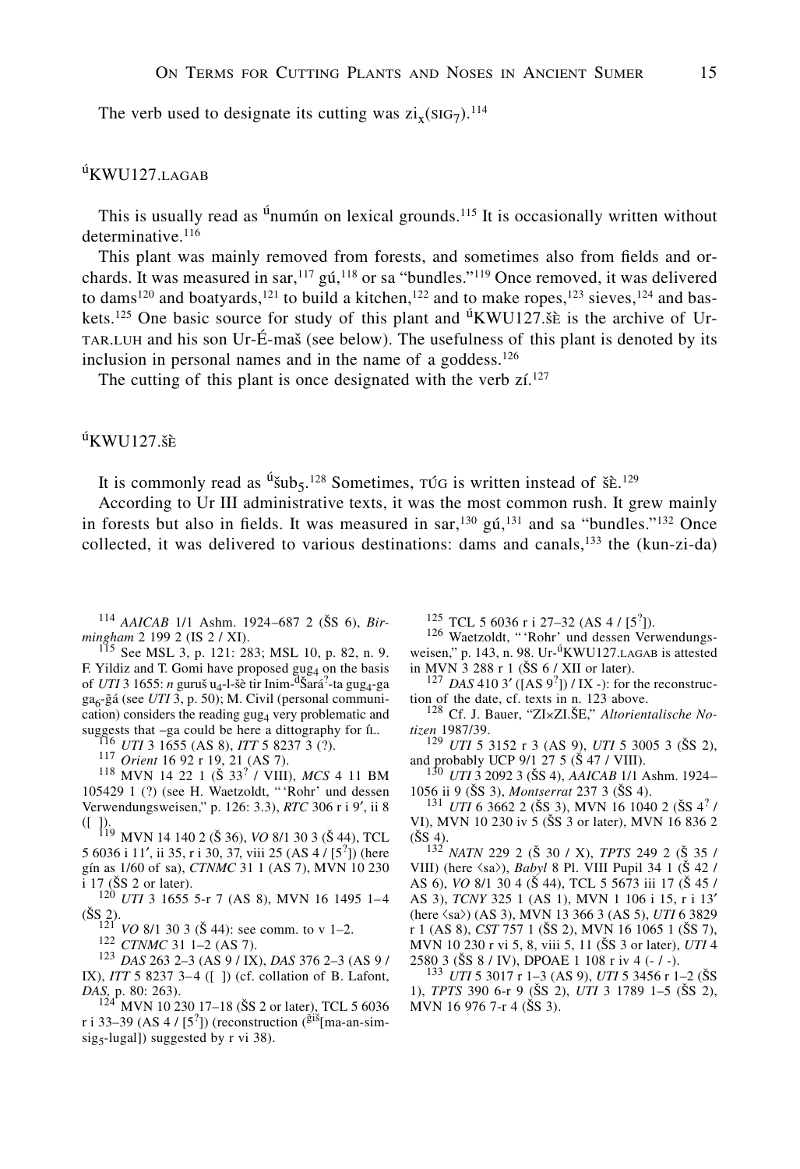The verb used to designate its cutting was  $\rm{zi}_x(\rm{SiG}_7)^{114}$ 

### $u$ KWU127.LAGAB

This is usually read as  $\mathring{u}$ numún on lexical grounds.<sup>115</sup> It is occasionally written without determinative.<sup>116</sup>

This plant was mainly removed from forests, and sometimes also from fields and orchards. It was measured in sar,  $^{117}$  gú,  $^{118}$  or sa "bundles."<sup>119</sup> Once removed, it was delivered to dams<sup>120</sup> and boatyards,<sup>121</sup> to build a kitchen,<sup>122</sup> and to make ropes,<sup>123</sup> sieves,<sup>124</sup> and baskets.<sup>125</sup> One basic source for study of this plant and <sup>ú</sup>KWU127. See is the archive of Urtar.luh and his son Ur-É-mas (see below). The usefulness of this plant is denoted by its inclusion in personal names and in the name of a goddess.<sup>126</sup>

The cutting of this plant is once designated with the verb  $\mathsf{z}$  i.<sup>127</sup>

### $u$ KWU127.šè

It is commonly read as  $\mathrm{u}_{\mathsf{S}}^2$ ,  $\mathrm{u}_{\mathsf{S}}^2$ . Sometimes,  $\mathrm{u}_{\mathsf{S}}$  is written instead of  $\mathrm{S}$ .  $\mathrm{E}^2$ .

According to Ur III administrative texts, it was the most common rush. It grew mainly in forests but also in fields. It was measured in sar,  $130 \text{ g}t$ ,  $131 \text{ and sa }$  "bundles." $132 \text{ Once}$ collected, it was delivered to various destinations: dams and canals,  $^{133}$  the (kun-zi-da)

<sup>114</sup> *AAICAB* 1/1 Ashm. 1924–687 2 (ŠS 6), *Bir-mingham* 2 199 2 (IS 2 / XI).

<sup>115</sup> See MSL 3, p. 121: 283; MSL 10, p. 82, n. 9. F. Yildiz and T. Gomi have proposed  $\text{gug}_4$  on the basis of *UTI* 3 1655: *n* guruš u<sub>4</sub>-l-šè tir Inim-<sup>d</sup>Šará<sup>2</sup>-ta gug<sub>4</sub>-ga ga<sub>6</sub>-gá (see *UTI* 3, p. 50); M. Civil (personal communication) considers the reading gug<sub>4</sub> very problematic and suggests that –ga could be here a dittography for ít.<br>
<sup>116</sup> *UTI* 3 1655 (AS 8), *ITT* 5 8237 3 (?).<br>
<sup>117</sup> *Orient* 16 92 r 19, 21 (AS 7).<br>
<sup>118</sup> MVN 14 22 1 (Š 33<sup>?</sup> / VIII), *MCS* 4 11 BM

105429 1 (?) (see H. Waetzoldt, " 'Rohr' und dessen Verwendungsweisen," p. 126: 3.3), *RTC* 306 r i 9', ii 8

([ ]).<br>
119 MVN 14 140 2 (Š 36), *VO* 8/1 30 3 (Š 44), TCL<br>  $\frac{(5.44)}{2}$ , TCL 5 6036 i 11', ii 35, r i 30, 37, viii 25 (AS 4 /  $[5^2]$ ) (here oin as 1/60 of sa) *CTNMC* 31 1 (AS 7) MVN 10 230 gín as 1/60 of sa), *CTNMC* 31 1 (AS 7), MVN 10 230

i 17 (SS 2 or later). <sup>120</sup> *UTI* 3 1655 5-r 7 (AS 8), MVN 16 1495 1–4 (SS 2).<br>
<sup>121</sup> *VO* 8/1 30 3 (Š 44): see comm. to v 1–2.<br>
<sup>122</sup> *CTNMC* 31 1–2 (AS 7).<br>
<sup>123</sup> *DAS* 263 2–3 (AS 9 / IX), *DAS* 376 2–3 (AS 9 /

IX), *ITT* 5 8237 3–4 ([ ]) (cf. collation of B. Lafont, *DAS*<sub>, *p*</sub>. 80: 263).

*MVN* 10 230 17–18 (ŠS 2 or later), TCL 5 6036 r i 33–39 (AS 4 /  $[5^2]$ ) (reconstruction ( $\frac{\tilde{g}i\tilde{s}}{m}$  ma-an-simsig<sub>5</sub>-lugal]) suggested by  $r$  vi 38).

<sup>125</sup> TCL 5 6036 r i 27–32 (AS 4 / [5<sup>2</sup>]).

<sup>126</sup> Waetzoldt, "'Rohr' und dessen Verwendungsweisen," p. 143, n. 98. Ur-<sup>ú</sup>KWU127. LAGAB is attested in MVN 3 288 r 1 (ŠS 6 / XII or later).

in MVN 3 288 r 1 (SS 6 / XII or later).<br><sup>127</sup> *DAS* 410 3' ([AS 9<sup>2</sup>]) / IX -): for the reconstruc-<br>tion of the date cf texts in n 123 above

tion of the date, cf. texts in n. 123 above.<br><sup>128</sup> Cf. J. Bauer, "ZI×ZI.ŠE," *Altorientalische No-*<br>tizen 1987/39.

<sup>129</sup> *UTI* 5 3152 r 3 (AS 9), *UTI* 5 3005 3 (ŠS 2), and probably UCP 9/1 27 5 (Š 47 / VIII).

<sup>130</sup> *UTI* 3 2092 3 (ŠS 4), *AAICAB* 1/1 Ashm. 1924–<br>1056 ii 9 (ŠS 3), *Montserrat* 237 3 (ŠS 4).

1056 ii 9 (ŠS 3), *Montserrat* 237 3 (ŠS 4).<br><sup>131</sup> *UTI* 6 3662 2 (ŠS 3), MVN 16 1040 2 (ŠS 4<sup>?</sup> / VI), MVN 10 230 iv 5 (SS 3 or later), MVN 16 836 2  $(SS 4)$ .

<sup>132</sup> *NATN* 229 2 (S 30 / X), *TPTS* 249 2 (S 35 / VIII) (here  $\langle sa \rangle$ ), *Babyl* 8 Pl. VIII Pupil 34 1 ( $\dot{S}$  42 / AS 6), *VO* 8/1 30 4 (S 44), TCL 5 5673 iii 17 (S 45 / AS 3), *TCNY* 325 1 (AS 1), MVN 1 106 i 15, r i 13u (here fisafl) (AS 3), MVN 13 366 3 (AS 5), *UTI* 6 3829 r 1 (AS 8), *CST* 757 1 (SS 2), MVN 16 1065 1 (SS 7), MVN 10 230 r vi 5, 8, viii 5, 11 (ŠS 3 or later), *UTI* 4 2580 3 (ŠS 8 / IV), DPOAE 1 108 r iv 4 (- / -).

<sup>133</sup> *UTI* 5 3017 r 1–3 (AS 9), *UTI* 5 3456 r 1–2 (ŠS 1), *TPTS* 390 6-r 9 (SS 2), *UTI* 3 1789 1–5 (SS 2), MVN 16 976 7-r 4 (ŠS 3).